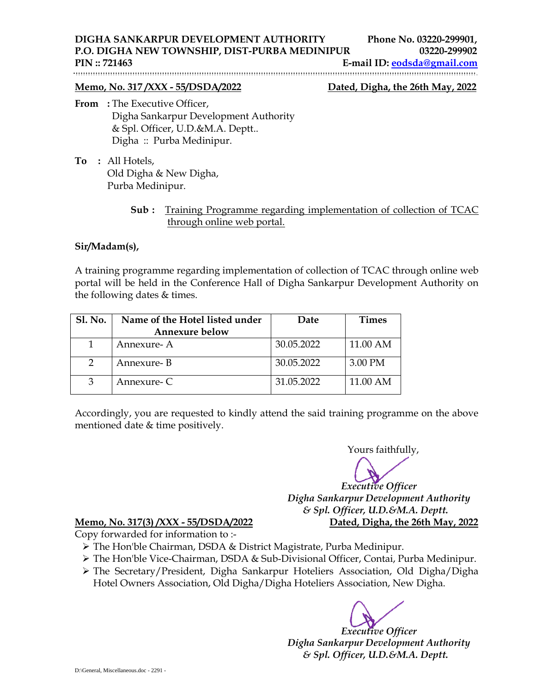**DIGHA SANKARPUR DEVELOPMENT AUTHORITY Phone No. 03220-299901, P.O. DIGHA NEW TOWNSHIP, DIST-PURBA MEDINIPUR 03220-299902** 

**PIN :: 721463 E-mail ID: eodsda@gmail.com** 

## **Memo, No. 317 /XXX - 55/DSDA/2022 Dated, Digha, the 26th May, 2022**

- **From** : The Executive Officer, Digha Sankarpur Development Authority & Spl. Officer, U.D.&M.A. Deptt.. Digha :: Purba Medinipur.
- **To :** All Hotels, Old Digha & New Digha, Purba Medinipur.
	- **Sub :** Training Programme regarding implementation of collection of TCAC through online web portal.

## **Sir/Madam(s),**

A training programme regarding implementation of collection of TCAC through online web portal will be held in the Conference Hall of Digha Sankarpur Development Authority on the following dates & times.

| <b>Sl. No.</b> | Name of the Hotel listed under<br><b>Annexure below</b> | Date       | <b>Times</b> |
|----------------|---------------------------------------------------------|------------|--------------|
|                | Annexure-A                                              | 30.05.2022 | 11.00 AM     |
|                | Annexure- B                                             | 30.05.2022 | 3.00 PM      |
| 3              | Annexure- C                                             | 31.05.2022 | 11.00 AM     |

Accordingly, you are requested to kindly attend the said training programme on the above mentioned date & time positively.

Yours faithfully, *Executive Officer Digha Sankarpur Development Authority & Spl. Officer, U.D.&M.A. Deptt.* 

## **Memo, No. 317(3) /XXX - 55/DSDA/2022 Dated, Digha, the 26th May, 2022**

Copy forwarded for information to :-

- The Hon'ble Chairman, DSDA & District Magistrate, Purba Medinipur.
- The Hon'ble Vice-Chairman, DSDA & Sub-Divisional Officer, Contai, Purba Medinipur.
- The Secretary/President, Digha Sankarpur Hoteliers Association, Old Digha/Digha Hotel Owners Association, Old Digha/Digha Hoteliers Association, New Digha.

*Executive Officer Digha Sankarpur Development Authority & Spl. Officer, U.D.&M.A. Deptt.*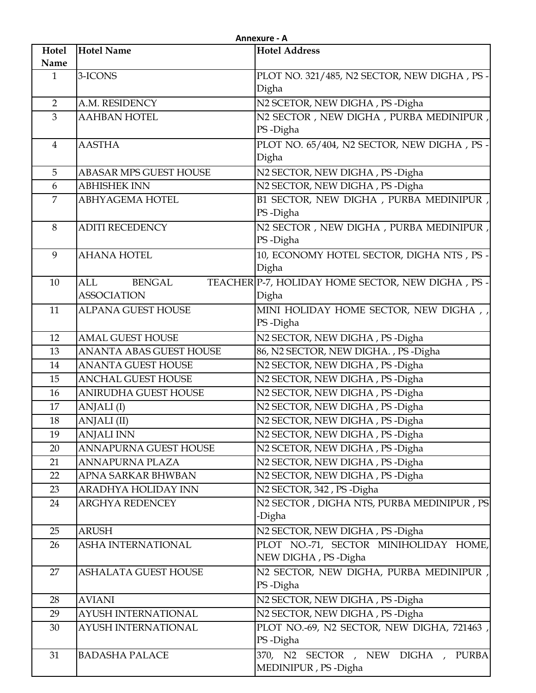|                | Annexure - A                   |                                                  |  |
|----------------|--------------------------------|--------------------------------------------------|--|
| Hotel          | <b>Hotel Name</b>              | <b>Hotel Address</b>                             |  |
| Name           |                                |                                                  |  |
| $\mathbf{1}$   | 3-ICONS                        | PLOT NO. 321/485, N2 SECTOR, NEW DIGHA, PS-      |  |
|                |                                | Digha                                            |  |
| $\overline{2}$ | A.M. RESIDENCY                 | N2 SCETOR, NEW DIGHA, PS-Digha                   |  |
| 3              | <b>AAHBAN HOTEL</b>            | N2 SECTOR, NEW DIGHA, PURBA MEDINIPUR,           |  |
|                |                                | PS-Digha                                         |  |
| $\overline{4}$ | <b>AASTHA</b>                  | PLOT NO. 65/404, N2 SECTOR, NEW DIGHA, PS-       |  |
|                |                                | Digha                                            |  |
| 5              | <b>ABASAR MPS GUEST HOUSE</b>  | N2 SECTOR, NEW DIGHA, PS-Digha                   |  |
| 6              | <b>ABHISHEK INN</b>            | N2 SECTOR, NEW DIGHA, PS-Digha                   |  |
| $\overline{7}$ | <b>ABHYAGEMA HOTEL</b>         | B1 SECTOR, NEW DIGHA, PURBA MEDINIPUR,           |  |
|                |                                | PS-Digha                                         |  |
| 8              | <b>ADITI RECEDENCY</b>         | N2 SECTOR, NEW DIGHA, PURBA MEDINIPUR,           |  |
|                |                                | PS-Digha                                         |  |
| 9              | <b>AHANA HOTEL</b>             | 10, ECONOMY HOTEL SECTOR, DIGHA NTS, PS-         |  |
|                |                                | Digha                                            |  |
| 10             | <b>BENGAL</b><br><b>ALL</b>    | TEACHER P-7, HOLIDAY HOME SECTOR, NEW DIGHA, PS- |  |
|                | <b>ASSOCIATION</b>             | Digha                                            |  |
| 11             | <b>ALPANA GUEST HOUSE</b>      | MINI HOLIDAY HOME SECTOR, NEW DIGHA,             |  |
|                |                                | PS-Digha                                         |  |
| 12             | <b>AMAL GUEST HOUSE</b>        | N2 SECTOR, NEW DIGHA, PS-Digha                   |  |
| 13             | <b>ANANTA ABAS GUEST HOUSE</b> | 86, N2 SECTOR, NEW DIGHA., PS-Digha              |  |
| 14             | <b>ANANTA GUEST HOUSE</b>      | N2 SECTOR, NEW DIGHA, PS-Digha                   |  |
| 15             | <b>ANCHAL GUEST HOUSE</b>      | N2 SECTOR, NEW DIGHA, PS-Digha                   |  |
| 16             | ANIRUDHA GUEST HOUSE           | N2 SECTOR, NEW DIGHA, PS-Digha                   |  |
| 17             | ANJALI (I)                     | N2 SECTOR, NEW DIGHA, PS-Digha                   |  |
| 18             | ANJALI (II)                    | N2 SECTOR, NEW DIGHA, PS-Digha                   |  |
| 19             | <b>ANJALI INN</b>              | N2 SECTOR, NEW DIGHA, PS-Digha                   |  |
| 20             | <b>ANNAPURNA GUEST HOUSE</b>   | N2 SCETOR, NEW DIGHA, PS-Digha                   |  |
| 21             | <b>ANNAPURNA PLAZA</b>         | N2 SECTOR, NEW DIGHA, PS-Digha                   |  |
| 22             | APNA SARKAR BHWBAN             | N2 SECTOR, NEW DIGHA, PS-Digha                   |  |
| 23             | ARADHYA HOLIDAY INN            | N2 SECTOR, 342, PS-Digha                         |  |
| 24             | <b>ARGHYA REDENCEY</b>         | N2 SECTOR, DIGHA NTS, PURBA MEDINIPUR, PS        |  |
|                |                                | -Digha                                           |  |
| 25             | <b>ARUSH</b>                   | N2 SECTOR, NEW DIGHA, PS-Digha                   |  |
| 26             | <b>ASHA INTERNATIONAL</b>      | PLOT NO.-71, SECTOR MINIHOLIDAY HOME,            |  |
|                |                                | NEW DIGHA, PS-Digha                              |  |
| 27             | <b>ASHALATA GUEST HOUSE</b>    | N2 SECTOR, NEW DIGHA, PURBA MEDINIPUR,           |  |
|                |                                | PS-Digha                                         |  |
| 28             | <b>AVIANI</b>                  | N2 SECTOR, NEW DIGHA, PS-Digha                   |  |
| 29             | AYUSH INTERNATIONAL            | N2 SECTOR, NEW DIGHA, PS-Digha                   |  |
| 30             | <b>AYUSH INTERNATIONAL</b>     | PLOT NO.-69, N2 SECTOR, NEW DIGHA, 721463,       |  |
|                |                                | PS-Digha                                         |  |
| 31             | <b>BADASHA PALACE</b>          | 370, N2 SECTOR, NEW DIGHA, PURBA                 |  |
|                |                                | MEDINIPUR, PS-Digha                              |  |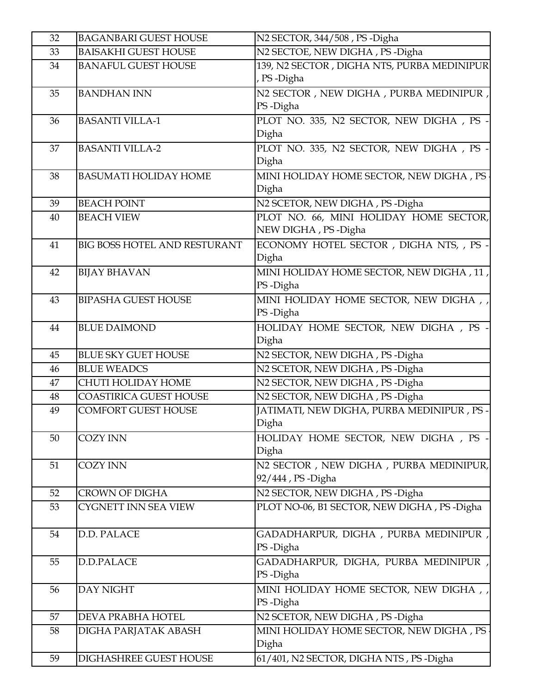| 32 | <b>BAGANBARI GUEST HOUSE</b> | N2 SECTOR, 344/508, PS -Digha              |
|----|------------------------------|--------------------------------------------|
| 33 | <b>BAISAKHI GUEST HOUSE</b>  | N2 SECTOE, NEW DIGHA, PS-Digha             |
| 34 | <b>BANAFUL GUEST HOUSE</b>   | 139, N2 SECTOR, DIGHA NTS, PURBA MEDINIPUR |
|    |                              | , PS-Digha                                 |
| 35 | <b>BANDHAN INN</b>           | N2 SECTOR, NEW DIGHA, PURBA MEDINIPUR,     |
|    |                              | PS-Digha                                   |
| 36 | <b>BASANTI VILLA-1</b>       | PLOT NO. 335, N2 SECTOR, NEW DIGHA, PS -   |
|    |                              | Digha                                      |
| 37 | <b>BASANTI VILLA-2</b>       | PLOT NO. 335, N2 SECTOR, NEW DIGHA, PS -   |
|    |                              | Digha                                      |
| 38 | <b>BASUMATI HOLIDAY HOME</b> | MINI HOLIDAY HOME SECTOR, NEW DIGHA, PS    |
|    |                              | Digha                                      |
| 39 | <b>BEACH POINT</b>           | N2 SCETOR, NEW DIGHA, PS-Digha             |
| 40 | <b>BEACH VIEW</b>            | PLOT NO. 66, MINI HOLIDAY HOME SECTOR,     |
|    |                              | NEW DIGHA, PS-Digha                        |
| 41 | BIG BOSS HOTEL AND RESTURANT | ECONOMY HOTEL SECTOR, DIGHA NTS,, PS -     |
|    |                              | Digha                                      |
| 42 | <b>BIJAY BHAVAN</b>          | MINI HOLIDAY HOME SECTOR, NEW DIGHA, 11,   |
|    |                              | PS-Digha                                   |
| 43 | <b>BIPASHA GUEST HOUSE</b>   | MINI HOLIDAY HOME SECTOR, NEW DIGHA,       |
|    |                              | PS-Digha                                   |
| 44 | <b>BLUE DAIMOND</b>          | HOLIDAY HOME SECTOR, NEW DIGHA, PS -       |
|    |                              | Digha                                      |
| 45 | <b>BLUE SKY GUET HOUSE</b>   | N2 SECTOR, NEW DIGHA, PS-Digha             |
| 46 | <b>BLUE WEADCS</b>           | N2 SCETOR, NEW DIGHA, PS-Digha             |
| 47 | <b>CHUTI HOLIDAY HOME</b>    | N2 SECTOR, NEW DIGHA, PS-Digha             |
| 48 | COASTIRICA GUEST HOUSE       | N2 SECTOR, NEW DIGHA, PS-Digha             |
| 49 | <b>COMFORT GUEST HOUSE</b>   | JATIMATI, NEW DIGHA, PURBA MEDINIPUR, PS - |
|    |                              | Digha                                      |
| 50 | <b>COZY INN</b>              | HOLIDAY HOME SECTOR, NEW DIGHA, PS -       |
|    |                              | Digha                                      |
| 51 | <b>COZY INN</b>              | N2 SECTOR, NEW DIGHA, PURBA MEDINIPUR,     |
|    |                              | 92/444, PS -Digha                          |
| 52 | <b>CROWN OF DIGHA</b>        | N2 SECTOR, NEW DIGHA, PS-Digha             |
| 53 | CYGNETT INN SEA VIEW         | PLOT NO-06, B1 SECTOR, NEW DIGHA, PS-Digha |
|    |                              |                                            |
| 54 | D.D. PALACE                  | GADADHARPUR, DIGHA , PURBA MEDINIPUR ,     |
|    |                              | PS-Digha                                   |
| 55 | D.D.PALACE                   | GADADHARPUR, DIGHA, PURBA MEDINIPUR,       |
|    |                              | PS-Digha                                   |
| 56 | DAY NIGHT                    | MINI HOLIDAY HOME SECTOR, NEW DIGHA,       |
|    |                              | PS-Digha                                   |
| 57 | DEVA PRABHA HOTEL            | N2 SCETOR, NEW DIGHA, PS-Digha             |
| 58 | DIGHA PARJATAK ABASH         | MINI HOLIDAY HOME SECTOR, NEW DIGHA, PS    |
|    |                              | Digha                                      |
| 59 | DIGHASHREE GUEST HOUSE       | 61/401, N2 SECTOR, DIGHA NTS, PS-Digha     |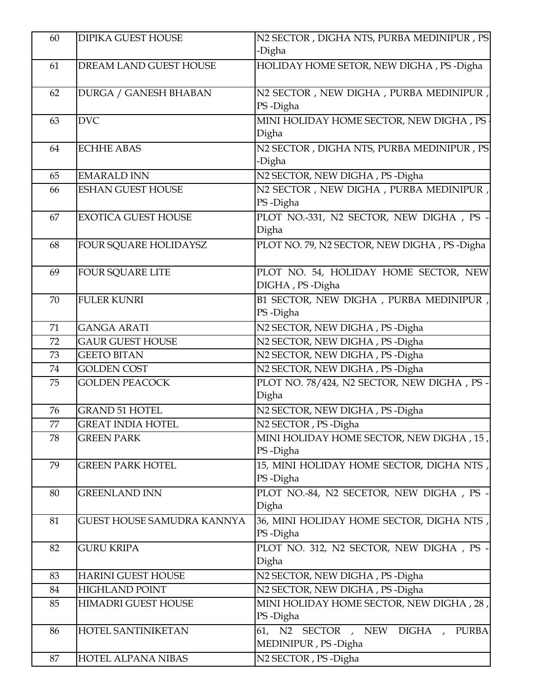| 60 | <b>DIPIKA GUEST HOUSE</b>         | N2 SECTOR, DIGHA NTS, PURBA MEDINIPUR, PS                        |
|----|-----------------------------------|------------------------------------------------------------------|
|    |                                   | -Digha                                                           |
| 61 | DREAM LAND GUEST HOUSE            | HOLIDAY HOME SETOR, NEW DIGHA, PS-Digha                          |
| 62 | DURGA / GANESH BHABAN             | N2 SECTOR, NEW DIGHA, PURBA MEDINIPUR,<br>PS-Digha               |
| 63 | <b>DVC</b>                        | MINI HOLIDAY HOME SECTOR, NEW DIGHA, PS<br>Digha                 |
| 64 | <b>ECHHE ABAS</b>                 | N2 SECTOR, DIGHA NTS, PURBA MEDINIPUR, PS<br>-Digha              |
| 65 | <b>EMARALD INN</b>                | N2 SECTOR, NEW DIGHA, PS-Digha                                   |
| 66 | <b>ESHAN GUEST HOUSE</b>          | N2 SECTOR, NEW DIGHA, PURBA MEDINIPUR,<br>PS-Digha               |
| 67 | <b>EXOTICA GUEST HOUSE</b>        | PLOT NO.-331, N2 SECTOR, NEW DIGHA, PS -<br>Digha                |
| 68 | FOUR SQUARE HOLIDAYSZ             | PLOT NO. 79, N2 SECTOR, NEW DIGHA, PS-Digha                      |
| 69 | <b>FOUR SQUARE LITE</b>           | PLOT NO. 54, HOLIDAY HOME SECTOR, NEW<br>DIGHA, PS-Digha         |
| 70 | <b>FULER KUNRI</b>                | B1 SECTOR, NEW DIGHA, PURBA MEDINIPUR,<br>PS-Digha               |
| 71 | <b>GANGA ARATI</b>                | N2 SECTOR, NEW DIGHA, PS-Digha                                   |
| 72 | <b>GAUR GUEST HOUSE</b>           | N2 SECTOR, NEW DIGHA, PS-Digha                                   |
| 73 | <b>GEETO BITAN</b>                | N2 SECTOR, NEW DIGHA, PS-Digha                                   |
| 74 | <b>GOLDEN COST</b>                | N2 SECTOR, NEW DIGHA, PS-Digha                                   |
| 75 | <b>GOLDEN PEACOCK</b>             | PLOT NO. 78/424, N2 SECTOR, NEW DIGHA, PS -<br>Digha             |
| 76 | <b>GRAND 51 HOTEL</b>             | N2 SECTOR, NEW DIGHA, PS-Digha                                   |
| 77 | <b>GREAT INDIA HOTEL</b>          | N2 SECTOR, PS-Digha                                              |
| 78 | <b>GREEN PARK</b>                 | MINI HOLIDAY HOME SECTOR, NEW DIGHA, 15,<br>PS-Digha             |
| 79 | <b>GREEN PARK HOTEL</b>           | 15, MINI HOLIDAY HOME SECTOR, DIGHA NTS,<br>PS-Digha             |
| 80 | <b>GREENLAND INN</b>              | PLOT NO.-84, N2 SECETOR, NEW DIGHA, PS -<br>Digha                |
| 81 | <b>GUEST HOUSE SAMUDRA KANNYA</b> | 36, MINI HOLIDAY HOME SECTOR, DIGHA NTS,<br>PS-Digha             |
| 82 | <b>GURU KRIPA</b>                 | PLOT NO. 312, N2 SECTOR, NEW DIGHA, PS -<br>Digha                |
| 83 | <b>HARINI GUEST HOUSE</b>         | N2 SECTOR, NEW DIGHA, PS-Digha                                   |
| 84 | <b>HIGHLAND POINT</b>             | N2 SECTOR, NEW DIGHA, PS-Digha                                   |
| 85 | <b>HIMADRI GUEST HOUSE</b>        | MINI HOLIDAY HOME SECTOR, NEW DIGHA, 28,<br>PS-Digha             |
| 86 | HOTEL SANTINIKETAN                | 61, N2 SECTOR, NEW DIGHA,<br><b>PURBA</b><br>MEDINIPUR, PS-Digha |
| 87 | HOTEL ALPANA NIBAS                | N2 SECTOR, PS-Digha                                              |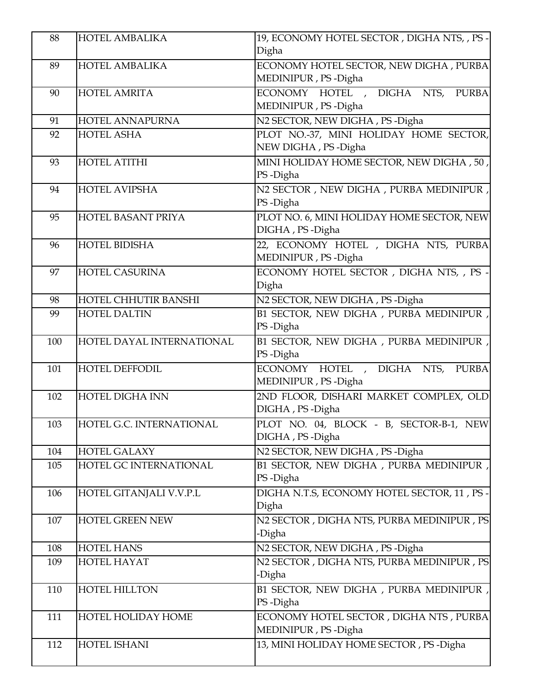| 88  | <b>HOTEL AMBALIKA</b>     | 19, ECONOMY HOTEL SECTOR, DIGHANTS, , PS -                        |
|-----|---------------------------|-------------------------------------------------------------------|
|     |                           | Digha                                                             |
| 89  | <b>HOTEL AMBALIKA</b>     | ECONOMY HOTEL SECTOR, NEW DIGHA, PURBA<br>MEDINIPUR, PS-Digha     |
| 90  | <b>HOTEL AMRITA</b>       | ECONOMY HOTEL , DIGHA NTS,<br><b>PURBA</b><br>MEDINIPUR, PS-Digha |
| 91  | HOTEL ANNAPURNA           | N2 SECTOR, NEW DIGHA, PS-Digha                                    |
| 92  | <b>HOTEL ASHA</b>         | PLOT NO.-37, MINI HOLIDAY HOME SECTOR,<br>NEW DIGHA, PS-Digha     |
| 93  | <b>HOTEL ATITHI</b>       | MINI HOLIDAY HOME SECTOR, NEW DIGHA, 50,<br>PS-Digha              |
| 94  | <b>HOTEL AVIPSHA</b>      | N2 SECTOR, NEW DIGHA, PURBA MEDINIPUR,<br>PS-Digha                |
| 95  | HOTEL BASANT PRIYA        | PLOT NO. 6, MINI HOLIDAY HOME SECTOR, NEW<br>DIGHA, PS-Digha      |
| 96  | <b>HOTEL BIDISHA</b>      | 22, ECONOMY HOTEL , DIGHA NTS, PURBA<br>MEDINIPUR, PS-Digha       |
| 97  | <b>HOTEL CASURINA</b>     | ECONOMY HOTEL SECTOR, DIGHA NTS, , PS -<br>Digha                  |
| 98  | HOTEL CHHUTIR BANSHI      | N2 SECTOR, NEW DIGHA, PS-Digha                                    |
| 99  | <b>HOTEL DALTIN</b>       | B1 SECTOR, NEW DIGHA, PURBA MEDINIPUR,<br>PS-Digha                |
| 100 | HOTEL DAYAL INTERNATIONAL | B1 SECTOR, NEW DIGHA, PURBA MEDINIPUR,<br>PS-Digha                |
| 101 | <b>HOTEL DEFFODIL</b>     | ECONOMY HOTEL , DIGHA NTS,<br><b>PURBA</b><br>MEDINIPUR, PS-Digha |
| 102 | <b>HOTEL DIGHA INN</b>    | 2ND FLOOR, DISHARI MARKET COMPLEX, OLD<br>DIGHA, PS-Digha         |
| 103 | HOTEL G.C. INTERNATIONAL  | PLOT NO. 04, BLOCK - B, SECTOR-B-1, NEW<br>DIGHA, PS-Digha        |
| 104 | <b>HOTEL GALAXY</b>       | N2 SECTOR, NEW DIGHA, PS-Digha                                    |
| 105 | HOTEL GC INTERNATIONAL    | B1 SECTOR, NEW DIGHA, PURBA MEDINIPUR,<br>PS-Digha                |
| 106 | HOTEL GITANJALI V.V.P.L   | DIGHA N.T.S, ECONOMY HOTEL SECTOR, 11, PS -<br>Digha              |
| 107 | <b>HOTEL GREEN NEW</b>    | N2 SECTOR, DIGHA NTS, PURBA MEDINIPUR, PS<br>-Digha               |
| 108 | <b>HOTEL HANS</b>         | N2 SECTOR, NEW DIGHA, PS-Digha                                    |
| 109 | <b>HOTEL HAYAT</b>        | N2 SECTOR, DIGHA NTS, PURBA MEDINIPUR, PS<br>-Digha               |
| 110 | <b>HOTEL HILLTON</b>      | B1 SECTOR, NEW DIGHA, PURBA MEDINIPUR,<br>PS-Digha                |
| 111 | <b>HOTEL HOLIDAY HOME</b> | ECONOMY HOTEL SECTOR, DIGHANTS, PURBA<br>MEDINIPUR, PS-Digha      |
| 112 | HOTEL ISHANI              | 13, MINI HOLIDAY HOME SECTOR, PS-Digha                            |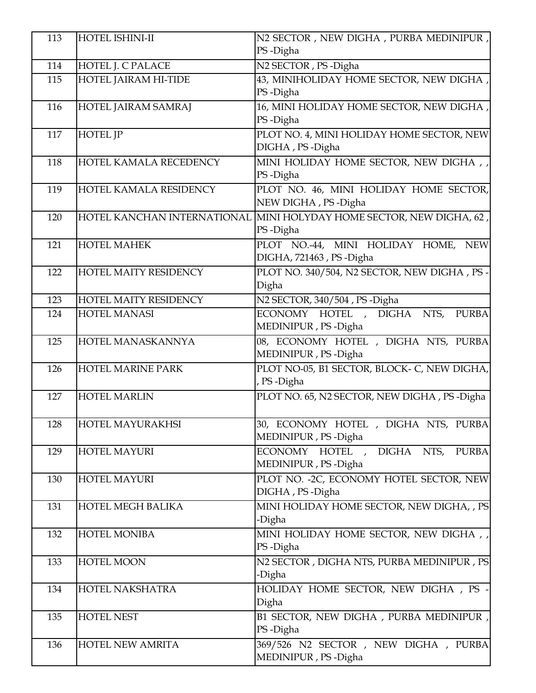| 113 | HOTEL ISHINI-II          | N2 SECTOR, NEW DIGHA, PURBA MEDINIPUR,<br>PS-Digha                   |
|-----|--------------------------|----------------------------------------------------------------------|
| 114 | HOTEL J. C PALACE        | N2 SECTOR, PS-Digha                                                  |
| 115 | HOTEL JAIRAM HI-TIDE     | 43, MINIHOLIDAY HOME SECTOR, NEW DIGHA,                              |
|     |                          | PS-Digha                                                             |
| 116 | HOTEL JAIRAM SAMRAJ      | 16, MINI HOLIDAY HOME SECTOR, NEW DIGHA,                             |
|     |                          | PS-Digha                                                             |
| 117 | <b>HOTEL JP</b>          | PLOT NO. 4, MINI HOLIDAY HOME SECTOR, NEW                            |
|     |                          | DIGHA, PS-Digha                                                      |
| 118 | HOTEL KAMALA RECEDENCY   | MINI HOLIDAY HOME SECTOR, NEW DIGHA, ,                               |
|     |                          | PS-Digha                                                             |
| 119 | HOTEL KAMALA RESIDENCY   | PLOT NO. 46, MINI HOLIDAY HOME SECTOR,                               |
|     |                          | NEW DIGHA, PS-Digha                                                  |
| 120 |                          | HOTEL KANCHAN INTERNATIONAL MINI HOLYDAY HOME SECTOR, NEW DIGHA, 62, |
|     |                          | PS-Digha                                                             |
| 121 | <b>HOTEL MAHEK</b>       | PLOT NO.-44, MINI HOLIDAY HOME, NEW                                  |
|     |                          | DIGHA, 721463, PS-Digha                                              |
| 122 | HOTEL MAITY RESIDENCY    | PLOT NO. 340/504, N2 SECTOR, NEW DIGHA, PS-                          |
|     |                          | Digha                                                                |
| 123 | HOTEL MAITY RESIDENCY    | N2 SECTOR, 340/504, PS-Digha                                         |
| 124 | <b>HOTEL MANASI</b>      | ECONOMY HOTEL , DIGHA<br><b>PURBA</b><br>NTS,                        |
|     |                          | MEDINIPUR, PS-Digha                                                  |
| 125 | HOTEL MANASKANNYA        | 08, ECONOMY HOTEL , DIGHA NTS, PURBA                                 |
|     |                          | MEDINIPUR, PS-Digha                                                  |
| 126 | HOTEL MARINE PARK        | PLOT NO-05, B1 SECTOR, BLOCK- C, NEW DIGHA,                          |
|     |                          | , PS-Digha                                                           |
| 127 | <b>HOTEL MARLIN</b>      | PLOT NO. 65, N2 SECTOR, NEW DIGHA, PS-Digha                          |
|     |                          |                                                                      |
| 128 | HOTEL MAYURAKHSI         | 30, ECONOMY HOTEL , DIGHA NTS, PURBA                                 |
|     |                          | MEDINIPUR, PS-Digha                                                  |
| 129 | <b>HOTEL MAYURI</b>      | ECONOMY HOTEL , DIGHA NTS,<br><b>PURBA</b>                           |
|     |                          | MEDINIPUR, PS-Digha                                                  |
| 130 | <b>HOTEL MAYURI</b>      | PLOT NO. - 2C, ECONOMY HOTEL SECTOR, NEW                             |
|     |                          | DIGHA, PS-Digha                                                      |
| 131 | <b>HOTEL MEGH BALIKA</b> | MINI HOLIDAY HOME SECTOR, NEW DIGHA, , PS                            |
|     |                          | -Digha                                                               |
| 132 | <b>HOTEL MONIBA</b>      | MINI HOLIDAY HOME SECTOR, NEW DIGHA, ,                               |
|     |                          | PS-Digha                                                             |
| 133 | HOTEL MOON               | N2 SECTOR, DIGHA NTS, PURBA MEDINIPUR, PS                            |
|     |                          | -Digha                                                               |
| 134 | HOTEL NAKSHATRA          | HOLIDAY HOME SECTOR, NEW DIGHA, PS -                                 |
|     |                          | Digha                                                                |
| 135 | <b>HOTEL NEST</b>        | B1 SECTOR, NEW DIGHA, PURBA MEDINIPUR,                               |
|     |                          | PS-Digha                                                             |
| 136 | HOTEL NEW AMRITA         | 369/526 N2 SECTOR, NEW DIGHA, PURBA                                  |
|     |                          | MEDINIPUR, PS-Digha                                                  |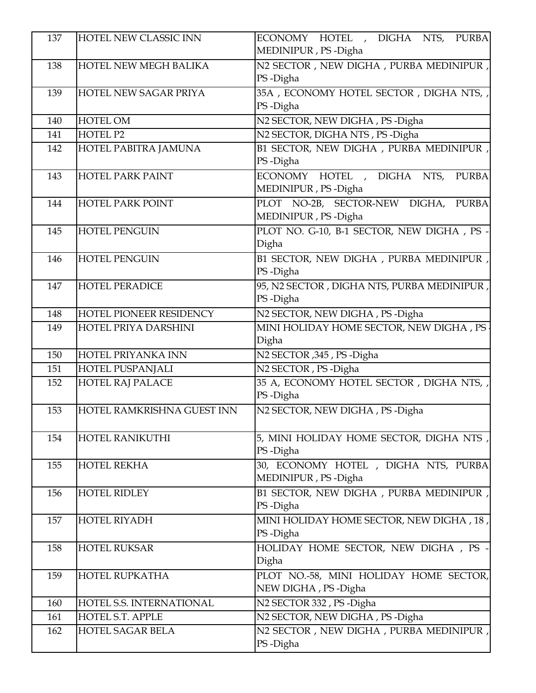| 137 | HOTEL NEW CLASSIC INN        | ECONOMY HOTEL , DIGHA NTS, PURBA                    |
|-----|------------------------------|-----------------------------------------------------|
|     |                              | MEDINIPUR, PS-Digha                                 |
| 138 | <b>HOTEL NEW MEGH BALIKA</b> | N2 SECTOR, NEW DIGHA, PURBA MEDINIPUR,              |
|     |                              | PS-Digha                                            |
| 139 | HOTEL NEW SAGAR PRIYA        | 35A, ECONOMY HOTEL SECTOR, DIGHA NTS,,              |
|     |                              | PS-Digha                                            |
| 140 | <b>HOTEL OM</b>              | N2 SECTOR, NEW DIGHA, PS-Digha                      |
| 141 | HOTEL P2                     | N2 SECTOR, DIGHA NTS, PS-Digha                      |
| 142 | HOTEL PABITRA JAMUNA         | B1 SECTOR, NEW DIGHA, PURBA MEDINIPUR,              |
|     |                              | PS-Digha                                            |
| 143 | <b>HOTEL PARK PAINT</b>      | ECONOMY HOTEL , DIGHA NTS, PURBA                    |
|     |                              | MEDINIPUR, PS-Digha                                 |
| 144 | <b>HOTEL PARK POINT</b>      | PLOT NO-2B, SECTOR-NEW DIGHA, PURBA                 |
|     |                              | MEDINIPUR, PS-Digha                                 |
| 145 | <b>HOTEL PENGUIN</b>         | PLOT NO. G-10, B-1 SECTOR, NEW DIGHA, PS -<br>Digha |
|     |                              | B1 SECTOR, NEW DIGHA, PURBA MEDINIPUR,              |
| 146 | <b>HOTEL PENGUIN</b>         | PS-Digha                                            |
| 147 | <b>HOTEL PERADICE</b>        | 95, N2 SECTOR , DIGHA NTS, PURBA MEDINIPUR,         |
|     |                              | PS-Digha                                            |
| 148 | HOTEL PIONEER RESIDENCY      | N2 SECTOR, NEW DIGHA, PS-Digha                      |
| 149 | HOTEL PRIYA DARSHINI         | MINI HOLIDAY HOME SECTOR, NEW DIGHA, PS             |
|     |                              | Digha                                               |
| 150 | HOTEL PRIYANKA INN           | N2 SECTOR , 345, PS - Digha                         |
| 151 | HOTEL PUSPANJALI             | N2 SECTOR, PS-Digha                                 |
| 152 | <b>HOTEL RAJ PALACE</b>      | 35 A, ECONOMY HOTEL SECTOR, DIGHANTS,               |
|     |                              | PS-Digha                                            |
| 153 | HOTEL RAMKRISHNA GUEST INN   | N2 SECTOR, NEW DIGHA, PS-Digha                      |
|     |                              |                                                     |
| 154 | HOTEL RANIKUTHI              | 5, MINI HOLIDAY HOME SECTOR, DIGHA NTS,             |
|     |                              | PS-Digha                                            |
| 155 | <b>HOTEL REKHA</b>           | 30, ECONOMY HOTEL , DIGHA NTS, PURBA                |
|     |                              | MEDINIPUR, PS-Digha                                 |
| 156 | <b>HOTEL RIDLEY</b>          | B1 SECTOR, NEW DIGHA, PURBA MEDINIPUR,              |
|     |                              | PS-Digha                                            |
| 157 | <b>HOTEL RIYADH</b>          | MINI HOLIDAY HOME SECTOR, NEW DIGHA, 18,            |
|     |                              | PS-Digha                                            |
| 158 | <b>HOTEL RUKSAR</b>          | HOLIDAY HOME SECTOR, NEW DIGHA, PS -                |
|     |                              | Digha                                               |
| 159 | <b>HOTEL RUPKATHA</b>        | PLOT NO.-58, MINI HOLIDAY HOME SECTOR,              |
|     |                              | NEW DIGHA, PS-Digha                                 |
| 160 | HOTEL S.S. INTERNATIONAL     | N2 SECTOR 332, PS-Digha                             |
| 161 | HOTEL S.T. APPLE             | N2 SECTOR, NEW DIGHA, PS-Digha                      |
| 162 | HOTEL SAGAR BELA             | N2 SECTOR, NEW DIGHA, PURBA MEDINIPUR,<br>PS-Digha  |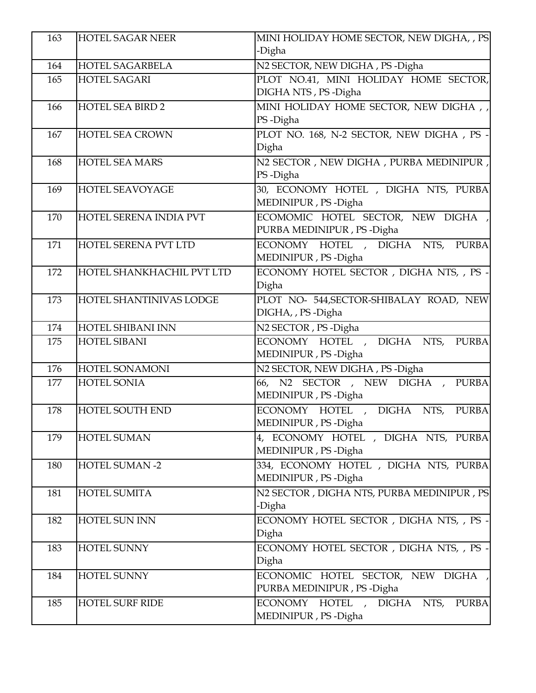| 163 | <b>HOTEL SAGAR NEER</b>   | MINI HOLIDAY HOME SECTOR, NEW DIGHA, , PS       |
|-----|---------------------------|-------------------------------------------------|
|     |                           | -Digha                                          |
| 164 | <b>HOTEL SAGARBELA</b>    | N2 SECTOR, NEW DIGHA, PS-Digha                  |
| 165 | <b>HOTEL SAGARI</b>       | PLOT NO.41, MINI HOLIDAY HOME SECTOR,           |
|     |                           | DIGHA NTS, PS-Digha                             |
| 166 | <b>HOTEL SEA BIRD 2</b>   | MINI HOLIDAY HOME SECTOR, NEW DIGHA,            |
|     |                           | PS-Digha                                        |
| 167 | <b>HOTEL SEA CROWN</b>    | PLOT NO. 168, N-2 SECTOR, NEW DIGHA, PS -       |
|     |                           | Digha                                           |
| 168 | <b>HOTEL SEA MARS</b>     | N2 SECTOR, NEW DIGHA, PURBA MEDINIPUR,          |
|     |                           | PS-Digha                                        |
| 169 | <b>HOTEL SEAVOYAGE</b>    | 30, ECONOMY HOTEL , DIGHA NTS, PURBA            |
|     |                           | MEDINIPUR, PS-Digha                             |
| 170 | HOTEL SERENA INDIA PVT    | ECOMOMIC HOTEL SECTOR, NEW DIGHA,               |
|     |                           | PURBA MEDINIPUR, PS-Digha                       |
| 171 | HOTEL SERENA PVT LTD      | ECONOMY HOTEL , DIGHA NTS, PURBA                |
| 172 | HOTEL SHANKHACHIL PVT LTD | MEDINIPUR, PS-Digha                             |
|     |                           | ECONOMY HOTEL SECTOR, DIGHANTS, , PS -<br>Digha |
| 173 | HOTEL SHANTINIVAS LODGE   | PLOT NO- 544, SECTOR-SHIBALAY ROAD, NEW         |
|     |                           | DIGHA, , PS -Digha                              |
| 174 | <b>HOTEL SHIBANI INN</b>  | $\overline{N2}$ SECTOR, PS-Digha                |
| 175 | HOTEL SIBANI              | ECONOMY HOTEL , DIGHA NTS, PURBA                |
|     |                           | MEDINIPUR, PS-Digha                             |
| 176 | HOTEL SONAMONI            | N2 SECTOR, NEW DIGHA, PS-Digha                  |
| 177 | HOTEL SONIA               | 66, N2 SECTOR, NEW DIGHA, PURBA                 |
|     |                           | MEDINIPUR, PS-Digha                             |
| 178 | HOTEL SOUTH END           | ECONOMY HOTEL , DIGHA NTS,<br><b>PURBA</b>      |
|     |                           | MEDINIPUR, PS-Digha                             |
| 179 | <b>HOTEL SUMAN</b>        | 4, ECONOMY HOTEL , DIGHA NTS, PURBA             |
|     |                           | MEDINIPUR, PS-Digha                             |
| 180 | <b>HOTEL SUMAN -2</b>     | 334, ECONOMY HOTEL , DIGHA NTS, PURBA           |
|     |                           | MEDINIPUR, PS-Digha                             |
| 181 | <b>HOTEL SUMITA</b>       | N2 SECTOR, DIGHA NTS, PURBA MEDINIPUR, PS       |
|     |                           | -Digha                                          |
| 182 | <b>HOTEL SUN INN</b>      | ECONOMY HOTEL SECTOR, DIGHA NTS, , PS -         |
|     |                           | Digha                                           |
| 183 | <b>HOTEL SUNNY</b>        | ECONOMY HOTEL SECTOR , DIGHA NTS, , PS -        |
|     |                           | Digha                                           |
| 184 | <b>HOTEL SUNNY</b>        | ECONOMIC HOTEL SECTOR, NEW DIGHA,               |
|     |                           | PURBA MEDINIPUR, PS-Digha                       |
| 185 | <b>HOTEL SURF RIDE</b>    | ECONOMY HOTEL , DIGHA NTS,<br><b>PURBA</b>      |
|     |                           | MEDINIPUR, PS-Digha                             |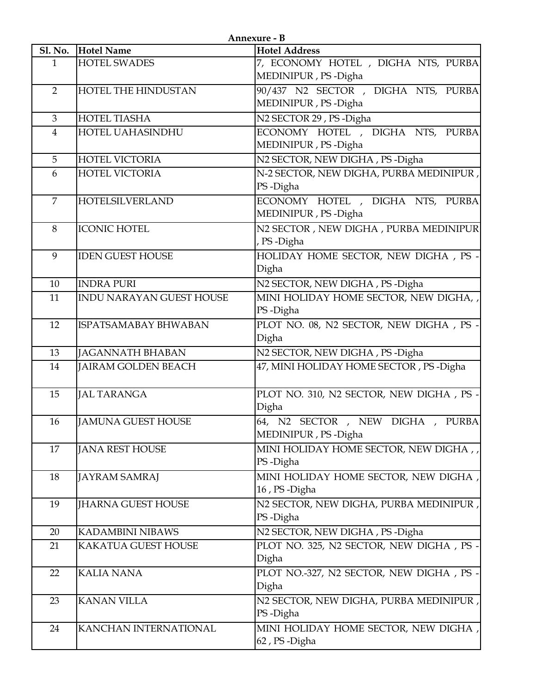| Annexure - B   |                                 |                                                            |
|----------------|---------------------------------|------------------------------------------------------------|
|                | Sl. No. Hotel Name              | <b>Hotel Address</b>                                       |
| $\mathbf{1}$   | <b>HOTEL SWADES</b>             | 7, ECONOMY HOTEL , DIGHA NTS, PURBA<br>MEDINIPUR, PS-Digha |
| $\overline{2}$ | HOTEL THE HINDUSTAN             | 90/437 N2 SECTOR, DIGHA NTS, PURBA<br>MEDINIPUR, PS-Digha  |
| 3              | <b>HOTEL TIASHA</b>             | N <sub>2</sub> SECTOR 29, PS -Digha                        |
| $\overline{4}$ | HOTEL UAHASINDHU                | ECONOMY HOTEL , DIGHA NTS, PURBA<br>MEDINIPUR, PS-Digha    |
| 5              | <b>HOTEL VICTORIA</b>           | N2 SECTOR, NEW DIGHA, PS-Digha                             |
| 6              | <b>HOTEL VICTORIA</b>           | N-2 SECTOR, NEW DIGHA, PURBA MEDINIPUR,<br>PS-Digha        |
| $\overline{7}$ | <b>HOTELSILVERLAND</b>          | ECONOMY HOTEL , DIGHA NTS, PURBA<br>MEDINIPUR, PS-Digha    |
| 8              | <b>ICONIC HOTEL</b>             | N2 SECTOR, NEW DIGHA, PURBA MEDINIPUR<br>, PS-Digha        |
| 9              | <b>IDEN GUEST HOUSE</b>         | HOLIDAY HOME SECTOR, NEW DIGHA, PS -<br>Digha              |
| 10             | <b>INDRA PURI</b>               | N2 SECTOR, NEW DIGHA, PS-Digha                             |
| 11             | <b>INDU NARAYAN GUEST HOUSE</b> | MINI HOLIDAY HOME SECTOR, NEW DIGHA, ,<br>PS-Digha         |
| 12             | ISPATSAMABAY BHWABAN            | PLOT NO. 08, N2 SECTOR, NEW DIGHA, PS -<br>Digha           |
| 13             | JAGANNATH BHABAN                | N2 SECTOR, NEW DIGHA, PS-Digha                             |
| 14             | JAIRAM GOLDEN BEACH             | 47, MINI HOLIDAY HOME SECTOR, PS-Digha                     |
| 15             | <b>JAL TARANGA</b>              | PLOT NO. 310, N2 SECTOR, NEW DIGHA, PS -<br>Digha          |
| 16             | <b>JAMUNA GUEST HOUSE</b>       | 64, N2 SECTOR, NEW DIGHA, PURBA<br>MEDINIPUR, PS-Digha     |
| 17             | <b>JANA REST HOUSE</b>          | MINI HOLIDAY HOME SECTOR, NEW DIGHA,<br>PS-Digha           |
| 18             | <b>JAYRAM SAMRAJ</b>            | MINI HOLIDAY HOME SECTOR, NEW DIGHA,<br>16, PS-Digha       |
| 19             | <b>IHARNA GUEST HOUSE</b>       | N2 SECTOR, NEW DIGHA, PURBA MEDINIPUR,<br>PS-Digha         |
| 20             | <b>KADAMBINI NIBAWS</b>         | N2 SECTOR, NEW DIGHA, PS-Digha                             |
| 21             | <b>KAKATUA GUEST HOUSE</b>      | PLOT NO. 325, N2 SECTOR, NEW DIGHA, PS -<br>Digha          |
| 22             | <b>KALIA NANA</b>               | PLOT NO.-327, N2 SECTOR, NEW DIGHA, PS -<br>Digha          |
| 23             | <b>KANAN VILLA</b>              | N2 SECTOR, NEW DIGHA, PURBA MEDINIPUR,<br>PS-Digha         |
| 24             | KANCHAN INTERNATIONAL           | MINI HOLIDAY HOME SECTOR, NEW DIGHA,<br>62, PS-Digha       |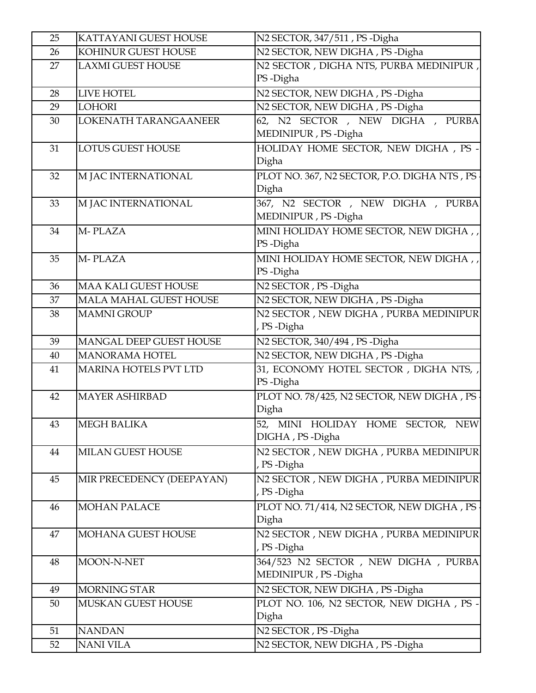| 25 | KATTAYANI GUEST HOUSE        | N <sub>2</sub> SECTOR, 347/511, PS -Digha     |
|----|------------------------------|-----------------------------------------------|
| 26 | KOHINUR GUEST HOUSE          | N2 SECTOR, NEW DIGHA, PS-Digha                |
| 27 | <b>LAXMI GUEST HOUSE</b>     | N2 SECTOR, DIGHA NTS, PURBA MEDINIPUR,        |
|    |                              | PS-Digha                                      |
| 28 | LIVE HOTEL                   | N2 SECTOR, NEW DIGHA, PS-Digha                |
| 29 | <b>LOHORI</b>                | N2 SECTOR, NEW DIGHA, PS-Digha                |
| 30 | LOKENATH TARANGAANEER        | 62, N2 SECTOR, NEW DIGHA, PURBA               |
|    |                              | MEDINIPUR, PS-Digha                           |
| 31 | <b>LOTUS GUEST HOUSE</b>     | HOLIDAY HOME SECTOR, NEW DIGHA, PS-           |
|    |                              | Digha                                         |
| 32 | M JAC INTERNATIONAL          | PLOT NO. 367, N2 SECTOR, P.O. DIGHA NTS, PS - |
|    |                              | Digha                                         |
| 33 | M JAC INTERNATIONAL          | 367, N2 SECTOR, NEW DIGHA, PURBA              |
|    |                              | MEDINIPUR, PS-Digha                           |
| 34 | M-PLAZA                      | MINI HOLIDAY HOME SECTOR, NEW DIGHA,          |
|    |                              | PS-Digha                                      |
| 35 | M-PLAZA                      | MINI HOLIDAY HOME SECTOR, NEW DIGHA,          |
|    |                              | PS-Digha                                      |
| 36 | <b>MAA KALI GUEST HOUSE</b>  | N2 SECTOR, PS-Digha                           |
| 37 | MALA MAHAL GUEST HOUSE       | N2 SECTOR, NEW DIGHA, PS-Digha                |
| 38 | <b>MAMNI GROUP</b>           | N2 SECTOR, NEW DIGHA, PURBA MEDINIPUR         |
|    |                              | , PS-Digha                                    |
| 39 | MANGAL DEEP GUEST HOUSE      | N2 SECTOR, 340/494, PS-Digha                  |
| 40 | <b>MANORAMA HOTEL</b>        | N2 SECTOR, NEW DIGHA, PS-Digha                |
| 41 | <b>MARINA HOTELS PVT LTD</b> | 31, ECONOMY HOTEL SECTOR, DIGHA NTS,          |
|    |                              | PS-Digha                                      |
| 42 | <b>MAYER ASHIRBAD</b>        | PLOT NO. 78/425, N2 SECTOR, NEW DIGHA, PS .   |
|    |                              | Digha                                         |
| 43 | <b>MEGH BALIKA</b>           | <b>NEW</b><br>52, MINI HOLIDAY HOME SECTOR,   |
|    |                              | DIGHA, PS-Digha                               |
| 44 | MILAN GUEST HOUSE            | N2 SECTOR, NEW DIGHA, PURBA MEDINIPUR         |
|    |                              | , PS-Digha                                    |
| 45 | MIR PRECEDENCY (DEEPAYAN)    | N2 SECTOR , NEW DIGHA , PURBA MEDINIPUR       |
|    |                              | , PS-Digha                                    |
| 46 | <b>MOHAN PALACE</b>          | PLOT NO. 71/414, N2 SECTOR, NEW DIGHA, PS     |
|    |                              | Digha                                         |
| 47 | MOHANA GUEST HOUSE           | N2 SECTOR, NEW DIGHA, PURBA MEDINIPUR         |
|    |                              | , PS-Digha                                    |
| 48 | MOON-N-NET                   | 364/523 N2 SECTOR, NEW DIGHA, PURBA           |
|    |                              | MEDINIPUR, PS-Digha                           |
| 49 | <b>MORNING STAR</b>          | N2 SECTOR, NEW DIGHA, PS-Digha                |
| 50 | MUSKAN GUEST HOUSE           | PLOT NO. 106, N2 SECTOR, NEW DIGHA, PS -      |
|    |                              | Digha                                         |
| 51 | <b>NANDAN</b>                | N2 SECTOR, PS-Digha                           |
| 52 | NANI VILA                    | N2 SECTOR, NEW DIGHA, PS-Digha                |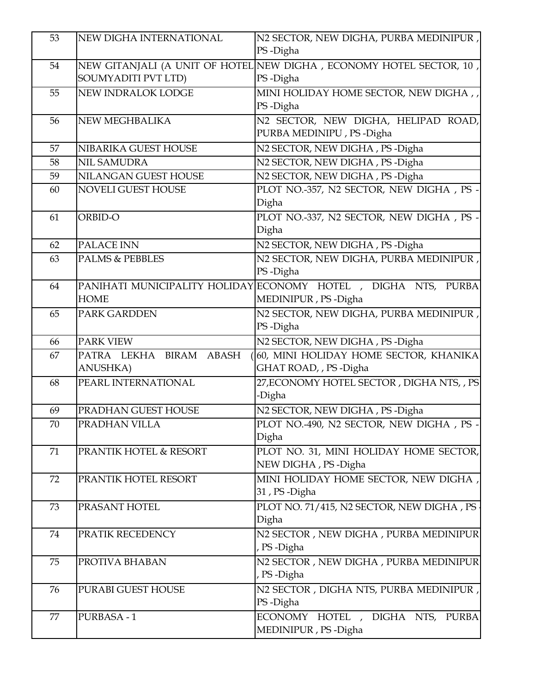| 53 | NEW DIGHA INTERNATIONAL    | N2 SECTOR, NEW DIGHA, PURBA MEDINIPUR,<br>PS-Digha                  |
|----|----------------------------|---------------------------------------------------------------------|
| 54 |                            | NEW GITANJALI (A UNIT OF HOTEL NEW DIGHA, ECONOMY HOTEL SECTOR, 10, |
|    | <b>SOUMYADITI PVT LTD)</b> | PS-Digha                                                            |
| 55 | NEW INDRALOK LODGE         | MINI HOLIDAY HOME SECTOR, NEW DIGHA,                                |
|    |                            | PS-Digha                                                            |
| 56 | NEW MEGHBALIKA             | N2 SECTOR, NEW DIGHA, HELIPAD ROAD,                                 |
|    |                            | PURBA MEDINIPU, PS-Digha                                            |
| 57 | NIBARIKA GUEST HOUSE       | N2 SECTOR, NEW DIGHA, PS-Digha                                      |
| 58 | NIL SAMUDRA                | N2 SECTOR, NEW DIGHA, PS-Digha                                      |
| 59 | NILANGAN GUEST HOUSE       | N2 SECTOR, NEW DIGHA, PS-Digha                                      |
| 60 | NOVELI GUEST HOUSE         | PLOT NO.-357, N2 SECTOR, NEW DIGHA, PS -                            |
|    |                            | Digha                                                               |
| 61 | ORBID-O                    | PLOT NO.-337, N2 SECTOR, NEW DIGHA, PS -                            |
|    |                            | Digha                                                               |
| 62 | PALACE INN                 | N2 SECTOR, NEW DIGHA, PS-Digha                                      |
| 63 | <b>PALMS &amp; PEBBLES</b> | N2 SECTOR, NEW DIGHA, PURBA MEDINIPUR,                              |
|    |                            | PS-Digha                                                            |
| 64 |                            | PANIHATI MUNICIPALITY HOLIDAY ECONOMY HOTEL, DIGHA NTS, PURBA       |
|    | <b>HOME</b>                | MEDINIPUR, PS-Digha                                                 |
| 65 | PARK GARDDEN               | N2 SECTOR, NEW DIGHA, PURBA MEDINIPUR,                              |
|    |                            | PS-Digha                                                            |
|    |                            |                                                                     |
| 66 | PARK VIEW                  | N2 SECTOR, NEW DIGHA, PS-Digha                                      |
| 67 | PATRA LEKHA BIRAM ABASH    | 60, MINI HOLIDAY HOME SECTOR, KHANIKA                               |
|    | <b>ANUSHKA</b> )           | GHAT ROAD, , PS-Digha                                               |
| 68 | PEARL INTERNATIONAL        | 27, ECONOMY HOTEL SECTOR, DIGHANTS, , PS                            |
|    |                            | -Digha                                                              |
| 69 | PRADHAN GUEST HOUSE        | N2 SECTOR, NEW DIGHA, PS-Digha                                      |
| 70 | PRADHAN VILLA              | PLOT NO.-490, N2 SECTOR, NEW DIGHA, PS -<br>Digha                   |
| 71 | PRANTIK HOTEL & RESORT     | PLOT NO. 31, MINI HOLIDAY HOME SECTOR,                              |
|    |                            | NEW DIGHA, PS-Digha                                                 |
| 72 | PRANTIK HOTEL RESORT       | MINI HOLIDAY HOME SECTOR, NEW DIGHA,<br>31, PS-Digha                |
| 73 | PRASANT HOTEL              | PLOT NO. 71/415, N2 SECTOR, NEW DIGHA, PS .                         |
|    |                            | Digha                                                               |
| 74 | PRATIK RECEDENCY           | N2 SECTOR, NEW DIGHA, PURBA MEDINIPUR                               |
|    |                            | , PS-Digha                                                          |
| 75 | PROTIVA BHABAN             |                                                                     |
|    |                            | N2 SECTOR, NEW DIGHA, PURBA MEDINIPUR<br>, PS-Digha                 |
| 76 | PURABI GUEST HOUSE         | N2 SECTOR, DIGHA NTS, PURBA MEDINIPUR,                              |
|    |                            | PS-Digha                                                            |
| 77 | PURBASA-1                  | ECONOMY HOTEL, DIGHA NTS,<br><b>PURBA</b>                           |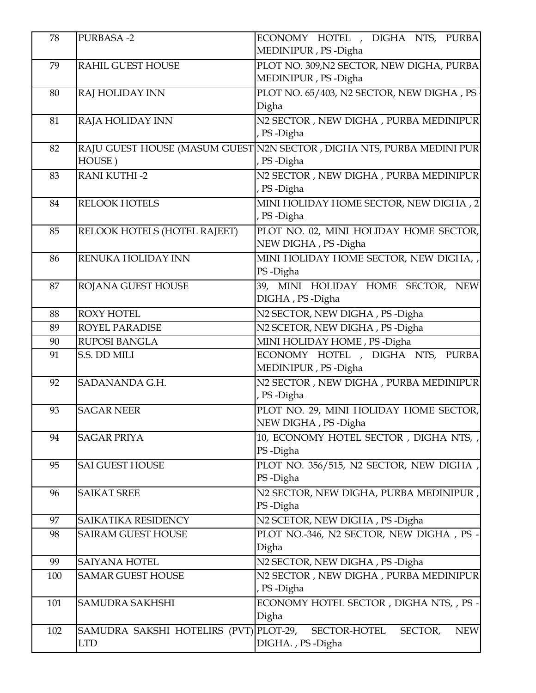| 78  | <b>PURBASA-2</b>              | ECONOMY HOTEL , DIGHA NTS, PURBA                  |
|-----|-------------------------------|---------------------------------------------------|
|     |                               | MEDINIPUR, PS-Digha                               |
| 79  | <b>RAHIL GUEST HOUSE</b>      | PLOT NO. 309, N2 SECTOR, NEW DIGHA, PURBA         |
|     |                               | MEDINIPUR, PS-Digha                               |
| 80  | RAJ HOLIDAY INN               | PLOT NO. 65/403, N2 SECTOR, NEW DIGHA, PS         |
|     |                               | Digha                                             |
| 81  | RAJA HOLIDAY INN              | N2 SECTOR, NEW DIGHA, PURBA MEDINIPUR             |
|     |                               | , PS-Digha                                        |
| 82  | RAJU GUEST HOUSE (MASUM GUEST | N2N SECTOR, DIGHA NTS, PURBA MEDINI PUR           |
|     | HOUSE)                        | , PS-Digha                                        |
| 83  | <b>RANI KUTHI-2</b>           | N2 SECTOR, NEW DIGHA, PURBA MEDINIPUR             |
|     |                               | , PS-Digha                                        |
| 84  | <b>RELOOK HOTELS</b>          | MINI HOLIDAY HOME SECTOR, NEW DIGHA, 2            |
|     |                               | , PS-Digha                                        |
| 85  | RELOOK HOTELS (HOTEL RAJEET)  | PLOT NO. 02, MINI HOLIDAY HOME SECTOR,            |
|     |                               | NEW DIGHA, PS-Digha                               |
| 86  | RENUKA HOLIDAY INN            | MINI HOLIDAY HOME SECTOR, NEW DIGHA, ,            |
|     |                               | PS-Digha                                          |
| 87  | ROJANA GUEST HOUSE            | 39, MINI HOLIDAY HOME SECTOR, NEW                 |
|     |                               | DIGHA, PS-Digha                                   |
| 88  | <b>ROXY HOTEL</b>             | N2 SECTOR, NEW DIGHA, PS-Digha                    |
| 89  | ROYEL PARADISE                | N2 SCETOR, NEW DIGHA, PS-Digha                    |
| 90  | <b>RUPOSI BANGLA</b>          | MINI HOLIDAY HOME, PS-Digha                       |
| 91  | S.S. DD MILI                  | ECONOMY HOTEL , DIGHA NTS, PURBA                  |
|     |                               | MEDINIPUR, PS-Digha                               |
| 92  | SADANANDA G.H.                | N2 SECTOR , NEW DIGHA , PURBA MEDINIPUR           |
|     |                               | , PS-Digha                                        |
| 93  | <b>SAGAR NEER</b>             | PLOT NO. 29, MINI HOLIDAY HOME SECTOR,            |
|     |                               | NEW DIGHA, PS-Digha                               |
| 94  | <b>SAGAR PRIYA</b>            | 10, ECONOMY HOTEL SECTOR, DIGHANTS,               |
|     |                               | PS-Digha                                          |
| 95  | <b>SAI GUEST HOUSE</b>        | PLOT NO. 356/515, N2 SECTOR, NEW DIGHA,           |
|     |                               | PS-Digha                                          |
| 96  | <b>SAIKAT SREE</b>            | N2 SECTOR, NEW DIGHA, PURBA MEDINIPUR,            |
|     |                               | PS-Digha                                          |
| 97  | SAIKATIKA RESIDENCY           | N2 SCETOR, NEW DIGHA, PS-Digha                    |
| 98  | <b>SAIRAM GUEST HOUSE</b>     | PLOT NO.-346, N2 SECTOR, NEW DIGHA, PS -          |
|     |                               | Digha                                             |
| 99  | SAIYANA HOTEL                 | N2 SECTOR, NEW DIGHA, PS-Digha                    |
| 100 | <b>SAMAR GUEST HOUSE</b>      | N2 SECTOR, NEW DIGHA, PURBA MEDINIPUR             |
|     |                               | , PS-Digha                                        |
| 101 | <b>SAMUDRA SAKHSHI</b>        | ECONOMY HOTEL SECTOR, DIGHANTS, , PS -            |
|     |                               | Digha                                             |
| 102 | SAMUDRA SAKSHI HOTELIRS (PVT) | PLOT-29,<br>SECTOR-HOTEL<br>SECTOR,<br><b>NEW</b> |
|     | <b>LTD</b>                    | DIGHA., PS-Digha                                  |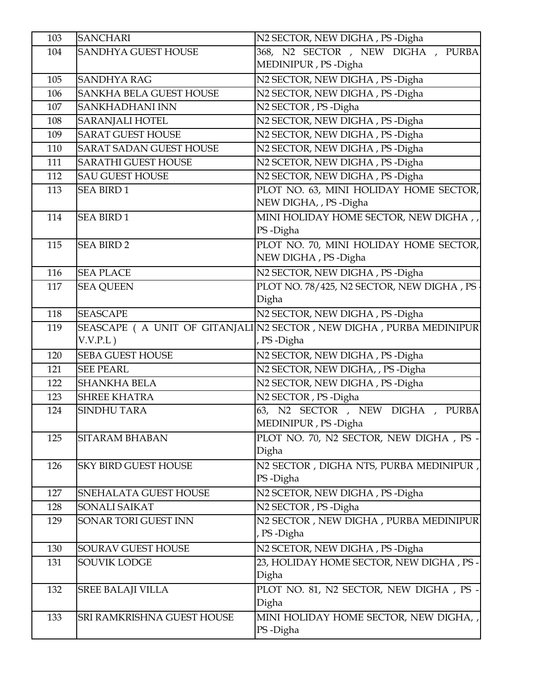| 103 | <b>SANCHARI</b>                | N2 SECTOR, NEW DIGHA, PS-Digha                                                    |
|-----|--------------------------------|-----------------------------------------------------------------------------------|
| 104 | <b>SANDHYA GUEST HOUSE</b>     | 368, N2 SECTOR, NEW DIGHA, PURBA                                                  |
|     |                                | MEDINIPUR, PS-Digha                                                               |
| 105 | <b>SANDHYA RAG</b>             | N2 SECTOR, NEW DIGHA, PS-Digha                                                    |
| 106 | <b>SANKHA BELA GUEST HOUSE</b> | N2 SECTOR, NEW DIGHA, PS-Digha                                                    |
| 107 | SANKHADHANI INN                | N2 SECTOR, PS-Digha                                                               |
| 108 | <b>SARANJALI HOTEL</b>         | N <sub>2</sub> SECTOR, NEW DIGHA, PS-Digha                                        |
| 109 | <b>SARAT GUEST HOUSE</b>       | N2 SECTOR, NEW DIGHA, PS-Digha                                                    |
| 110 | <b>SARAT SADAN GUEST HOUSE</b> | N2 SECTOR, NEW DIGHA, PS-Digha                                                    |
| 111 | <b>SARATHI GUEST HOUSE</b>     | N2 SCETOR, NEW DIGHA, PS-Digha                                                    |
| 112 | <b>SAU GUEST HOUSE</b>         | N2 SECTOR, NEW DIGHA, PS-Digha                                                    |
| 113 | <b>SEA BIRD 1</b>              | PLOT NO. 63, MINI HOLIDAY HOME SECTOR,<br>NEW DIGHA, , PS - Digha                 |
| 114 | <b>SEA BIRD 1</b>              | MINI HOLIDAY HOME SECTOR, NEW DIGHA,,<br>PS-Digha                                 |
| 115 | <b>SEA BIRD 2</b>              | PLOT NO. 70, MINI HOLIDAY HOME SECTOR,<br>NEW DIGHA, PS-Digha                     |
| 116 | <b>SEA PLACE</b>               | N <sub>2</sub> SECTOR, NEW DIGHA, PS-Digha                                        |
| 117 | <b>SEA QUEEN</b>               | PLOT NO. 78/425, N2 SECTOR, NEW DIGHA, PS .                                       |
|     |                                | Digha                                                                             |
| 118 | <b>SEASCAPE</b>                | N2 SECTOR, NEW DIGHA, PS-Digha                                                    |
| 119 | $V.V.P.L$ )                    | SEASCAPE ( A UNIT OF GITANJALIN2 SECTOR, NEW DIGHA, PURBA MEDINIPUR<br>, PS-Digha |
| 120 | <b>SEBA GUEST HOUSE</b>        | N2 SECTOR, NEW DIGHA, PS-Digha                                                    |
| 121 | <b>SEE PEARL</b>               | N2 SECTOR, NEW DIGHA, , PS - Digha                                                |
| 122 | <b>SHANKHA BELA</b>            | N2 SECTOR, NEW DIGHA, PS-Digha                                                    |
| 123 | <b>SHREE KHATRA</b>            | N2 SECTOR, PS-Digha                                                               |
| 124 | <b>SINDHU TARA</b>             | 63, N2 SECTOR, NEW DIGHA,<br>PURBA<br>MEDINIPUR, PS-Digha                         |
| 125 | <b>SITARAM BHABAN</b>          | PLOT NO. 70, N2 SECTOR, NEW DIGHA, PS -<br>Digha                                  |
| 126 | <b>SKY BIRD GUEST HOUSE</b>    | N2 SECTOR, DIGHA NTS, PURBA MEDINIPUR,<br>PS-Digha                                |
| 127 | SNEHALATA GUEST HOUSE          | N2 SCETOR, NEW DIGHA, PS-Digha                                                    |
| 128 | SONALI SAIKAT                  | N2 SECTOR, PS-Digha                                                               |
| 129 | SONAR TORI GUEST INN           | N2 SECTOR, NEW DIGHA, PURBA MEDINIPUR<br>, PS-Digha                               |
| 130 | SOURAV GUEST HOUSE             | N2 SCETOR, NEW DIGHA, PS-Digha                                                    |
| 131 | SOUVIK LODGE                   | 23, HOLIDAY HOME SECTOR, NEW DIGHA, PS-<br>Digha                                  |
| 132 | <b>SREE BALAJI VILLA</b>       | PLOT NO. 81, N2 SECTOR, NEW DIGHA, PS -<br>Digha                                  |
| 133 | SRI RAMKRISHNA GUEST HOUSE     | MINI HOLIDAY HOME SECTOR, NEW DIGHA, ,<br>PS-Digha                                |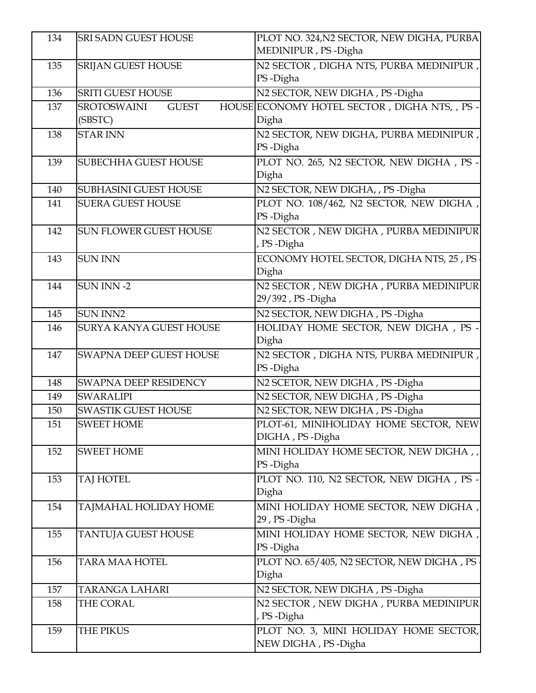| 134        | <b>SRI SADN GUEST HOUSE</b>        | PLOT NO. 324, N2 SECTOR, NEW DIGHA, PURBA                               |
|------------|------------------------------------|-------------------------------------------------------------------------|
|            |                                    | MEDINIPUR, PS-Digha                                                     |
| 135        | <b>SRIJAN GUEST HOUSE</b>          | N2 SECTOR, DIGHA NTS, PURBA MEDINIPUR,                                  |
|            |                                    | PS-Digha                                                                |
| 136        | <b>SRITI GUEST HOUSE</b>           | N2 SECTOR, NEW DIGHA, PS-Digha                                          |
| 137        | <b>SROTOSWAINI</b><br><b>GUEST</b> | HOUSE ECONOMY HOTEL SECTOR, DIGHANTS, , PS -                            |
|            | (SBSTC)                            | Digha                                                                   |
| 138        | <b>STAR INN</b>                    | N2 SECTOR, NEW DIGHA, PURBA MEDINIPUR,                                  |
|            |                                    | PS-Digha                                                                |
| 139        | SUBECHHA GUEST HOUSE               | PLOT NO. 265, N2 SECTOR, NEW DIGHA, PS -                                |
|            |                                    | Digha                                                                   |
| 140        | <b>SUBHASINI GUEST HOUSE</b>       | N2 SECTOR, NEW DIGHA, , PS - Digha                                      |
| 141        | <b>SUERA GUEST HOUSE</b>           | PLOT NO. 108/462, N2 SECTOR, NEW DIGHA,                                 |
|            |                                    | PS-Digha                                                                |
| 142        | <b>SUN FLOWER GUEST HOUSE</b>      | N2 SECTOR, NEW DIGHA, PURBA MEDINIPUR                                   |
|            | <b>SUN INN</b>                     | , PS-Digha<br>ECONOMY HOTEL SECTOR, DIGHA NTS, 25, PS                   |
| 143        |                                    | Digha                                                                   |
| 144        | <b>SUN INN-2</b>                   | N2 SECTOR, NEW DIGHA, PURBA MEDINIPUR                                   |
|            |                                    | 29/392, PS-Digha                                                        |
| 145        | <b>SUN INN2</b>                    | N2 SECTOR, NEW DIGHA, PS-Digha                                          |
| 146        | SURYA KANYA GUEST HOUSE            | HOLIDAY HOME SECTOR, NEW DIGHA, PS -                                    |
|            |                                    | Digha                                                                   |
| 147        | SWAPNA DEEP GUEST HOUSE            | N2 SECTOR, DIGHA NTS, PURBA MEDINIPUR,                                  |
|            |                                    | PS-Digha                                                                |
| 148        | SWAPNA DEEP RESIDENCY              | N2 SCETOR, NEW DIGHA, PS-Digha                                          |
| 149        | <b>SWARALIPI</b>                   | N2 SECTOR, NEW DIGHA, PS-Digha                                          |
| 150        | SWASTIK GUEST HOUSE                | N2 SECTOR, NEW DIGHA, PS-Digha                                          |
| 151        | <b>SWEET HOME</b>                  | PLOT-61, MINIHOLIDAY HOME SECTOR, NEW                                   |
|            |                                    | DIGHA, PS-Digha                                                         |
| 152        | <b>SWEET HOME</b>                  | MINI HOLIDAY HOME SECTOR, NEW DIGHA,                                    |
|            |                                    | PS-Digha                                                                |
| 153        | TAJ HOTEL                          | PLOT NO. 110, N2 SECTOR, NEW DIGHA, PS -                                |
|            |                                    | Digha                                                                   |
| 154        | TAJMAHAL HOLIDAY HOME              | MINI HOLIDAY HOME SECTOR, NEW DIGHA,                                    |
|            |                                    | 29, PS-Digha                                                            |
| 155        | TANTUJA GUEST HOUSE                | MINI HOLIDAY HOME SECTOR, NEW DIGHA,                                    |
|            |                                    | PS-Digha                                                                |
| 156        | <b>TARA MAA HOTEL</b>              | PLOT NO. 65/405, N2 SECTOR, NEW DIGHA, PS<br>Digha                      |
|            |                                    |                                                                         |
| 157<br>158 | TARANGA LAHARI<br>THE CORAL        | N2 SECTOR, NEW DIGHA, PS-Digha<br>N2 SECTOR, NEW DIGHA, PURBA MEDINIPUR |
|            |                                    | , PS-Digha                                                              |
| 159        | THE PIKUS                          | PLOT NO. 3, MINI HOLIDAY HOME SECTOR,                                   |
|            |                                    | NEW DIGHA, PS-Digha                                                     |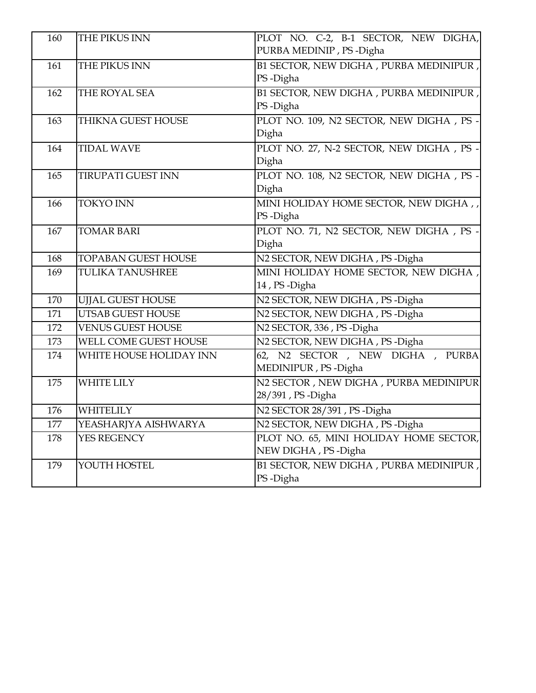| 160 | THE PIKUS INN              | PLOT NO. C-2, B-1 SECTOR, NEW DIGHA,     |
|-----|----------------------------|------------------------------------------|
|     |                            | PURBA MEDINIP, PS-Digha                  |
| 161 | THE PIKUS INN              | B1 SECTOR, NEW DIGHA, PURBA MEDINIPUR,   |
|     |                            | PS-Digha                                 |
| 162 | THE ROYAL SEA              | B1 SECTOR, NEW DIGHA, PURBA MEDINIPUR,   |
|     |                            | PS-Digha                                 |
| 163 | THIKNA GUEST HOUSE         | PLOT NO. 109, N2 SECTOR, NEW DIGHA, PS - |
|     |                            | Digha                                    |
| 164 | <b>TIDAL WAVE</b>          | PLOT NO. 27, N-2 SECTOR, NEW DIGHA, PS - |
|     |                            | Digha                                    |
| 165 | <b>TIRUPATI GUEST INN</b>  | PLOT NO. 108, N2 SECTOR, NEW DIGHA, PS - |
|     |                            | Digha                                    |
| 166 | <b>TOKYO INN</b>           | MINI HOLIDAY HOME SECTOR, NEW DIGHA,     |
|     |                            | PS-Digha                                 |
| 167 | <b>TOMAR BARI</b>          | PLOT NO. 71, N2 SECTOR, NEW DIGHA, PS -  |
|     |                            | Digha                                    |
| 168 | <b>TOPABAN GUEST HOUSE</b> | N2 SECTOR, NEW DIGHA, PS-Digha           |
| 169 | <b>TULIKA TANUSHREE</b>    | MINI HOLIDAY HOME SECTOR, NEW DIGHA,     |
|     |                            | 14, PS-Digha                             |
| 170 | <b>UJJAL GUEST HOUSE</b>   | N2 SECTOR, NEW DIGHA, PS-Digha           |
| 171 | <b>UTSAB GUEST HOUSE</b>   | N2 SECTOR, NEW DIGHA, PS-Digha           |
| 172 | <b>VENUS GUEST HOUSE</b>   | N2 SECTOR, 336, PS-Digha                 |
| 173 | WELL COME GUEST HOUSE      | N2 SECTOR, NEW DIGHA, PS-Digha           |
| 174 | WHITE HOUSE HOLIDAY INN    | 62, N2 SECTOR, NEW DIGHA, PURBA          |
|     |                            | MEDINIPUR, PS-Digha                      |
| 175 | <b>WHITE LILY</b>          | N2 SECTOR, NEW DIGHA, PURBA MEDINIPUR    |
|     |                            | 28/391, PS-Digha                         |
| 176 | WHITELILY                  | N2 SECTOR 28/391, PS-Digha               |
| 177 | YEASHARJYA AISHWARYA       | N2 SECTOR, NEW DIGHA, PS-Digha           |
| 178 | YES REGENCY                | PLOT NO. 65, MINI HOLIDAY HOME SECTOR,   |
|     |                            | NEW DIGHA, PS-Digha                      |
| 179 | YOUTH HOSTEL               | B1 SECTOR, NEW DIGHA, PURBA MEDINIPUR,   |
|     |                            | PS-Digha                                 |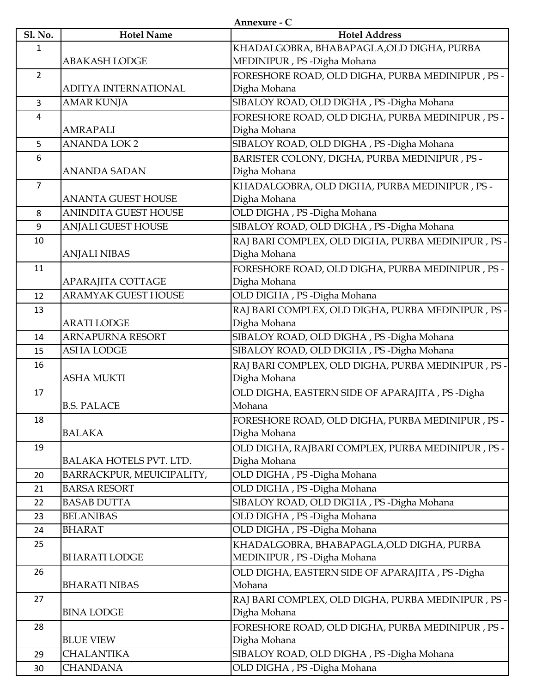**Annexure - C**

| <b>Sl. No.</b> | <b>Hotel Name</b>           | <b>Hotel Address</b>                               |
|----------------|-----------------------------|----------------------------------------------------|
|                |                             |                                                    |
| 1              |                             | KHADALGOBRA, BHABAPAGLA, OLD DIGHA, PURBA          |
|                | <b>ABAKASH LODGE</b>        | MEDINIPUR, PS - Digha Mohana                       |
| $\overline{2}$ |                             | FORESHORE ROAD, OLD DIGHA, PURBA MEDINIPUR, PS -   |
|                | <b>ADITYA INTERNATIONAL</b> | Digha Mohana                                       |
| $\overline{3}$ | <b>AMAR KUNJA</b>           | SIBALOY ROAD, OLD DIGHA, PS -Digha Mohana          |
| 4              |                             | FORESHORE ROAD, OLD DIGHA, PURBA MEDINIPUR, PS-    |
|                | <b>AMRAPALI</b>             | Digha Mohana                                       |
| 5              | <b>ANANDA LOK 2</b>         | SIBALOY ROAD, OLD DIGHA, PS-Digha Mohana           |
| 6              |                             | BARISTER COLONY, DIGHA, PURBA MEDINIPUR, PS -      |
|                | <b>ANANDA SADAN</b>         | Digha Mohana                                       |
| $\overline{7}$ |                             | KHADALGOBRA, OLD DIGHA, PURBA MEDINIPUR, PS -      |
|                | <b>ANANTA GUEST HOUSE</b>   | Digha Mohana                                       |
| 8              | <b>ANINDITA GUEST HOUSE</b> | OLD DIGHA, PS-Digha Mohana                         |
| 9              | <b>ANJALI GUEST HOUSE</b>   | SIBALOY ROAD, OLD DIGHA, PS-Digha Mohana           |
| 10             |                             | RAJ BARI COMPLEX, OLD DIGHA, PURBA MEDINIPUR, PS - |
|                | <b>ANJALI NIBAS</b>         | Digha Mohana                                       |
| 11             |                             | FORESHORE ROAD, OLD DIGHA, PURBA MEDINIPUR, PS -   |
|                | APARAJITA COTTAGE           | Digha Mohana                                       |
| 12             | <b>ARAMYAK GUEST HOUSE</b>  | OLD DIGHA, PS - Digha Mohana                       |
| 13             |                             | RAJ BARI COMPLEX, OLD DIGHA, PURBA MEDINIPUR, PS - |
|                | <b>ARATI LODGE</b>          | Digha Mohana                                       |
| 14             | <b>ARNAPURNA RESORT</b>     | SIBALOY ROAD, OLD DIGHA, PS-Digha Mohana           |
|                | <b>ASHA LODGE</b>           | SIBALOY ROAD, OLD DIGHA, PS - Digha Mohana         |
| 15             |                             |                                                    |
| 16             |                             | RAJ BARI COMPLEX, OLD DIGHA, PURBA MEDINIPUR, PS - |
|                | <b>ASHA MUKTI</b>           | Digha Mohana                                       |
| 17             |                             | OLD DIGHA, EASTERN SIDE OF APARAJITA, PS-Digha     |
|                | <b>B.S. PALACE</b>          | Mohana                                             |
| 18             |                             | FORESHORE ROAD, OLD DIGHA, PURBA MEDINIPUR, PS -   |
|                | BALAKA                      | Digha Mohana                                       |
| 19             |                             | OLD DIGHA, RAJBARI COMPLEX, PURBA MEDINIPUR, PS -  |
|                | BALAKA HOTELS PVT. LTD.     | Digha Mohana                                       |
| 20             | BARRACKPUR, MEUICIPALITY,   | OLD DIGHA, PS - Digha Mohana                       |
| 21             | <b>BARSA RESORT</b>         | OLD DIGHA, PS - Digha Mohana                       |
| 22             | <b>BASAB DUTTA</b>          | SIBALOY ROAD, OLD DIGHA, PS-Digha Mohana           |
| 23             | <b>BELANIBAS</b>            | OLD DIGHA, PS - Digha Mohana                       |
| 24             | <b>BHARAT</b>               | OLD DIGHA, PS - Digha Mohana                       |
| 25             |                             | KHADALGOBRA, BHABAPAGLA, OLD DIGHA, PURBA          |
|                | <b>BHARATI LODGE</b>        | MEDINIPUR, PS - Digha Mohana                       |
| 26             |                             | OLD DIGHA, EASTERN SIDE OF APARAJITA, PS-Digha     |
|                | <b>BHARATI NIBAS</b>        | Mohana                                             |
| 27             |                             | RAJ BARI COMPLEX, OLD DIGHA, PURBA MEDINIPUR, PS - |
|                | <b>BINA LODGE</b>           | Digha Mohana                                       |
| 28             |                             | FORESHORE ROAD, OLD DIGHA, PURBA MEDINIPUR, PS -   |
|                | <b>BLUE VIEW</b>            | Digha Mohana                                       |
| 29             | <b>CHALANTIKA</b>           | SIBALOY ROAD, OLD DIGHA, PS-Digha Mohana           |
| 30             | <b>CHANDANA</b>             | OLD DIGHA, PS - Digha Mohana                       |
|                |                             |                                                    |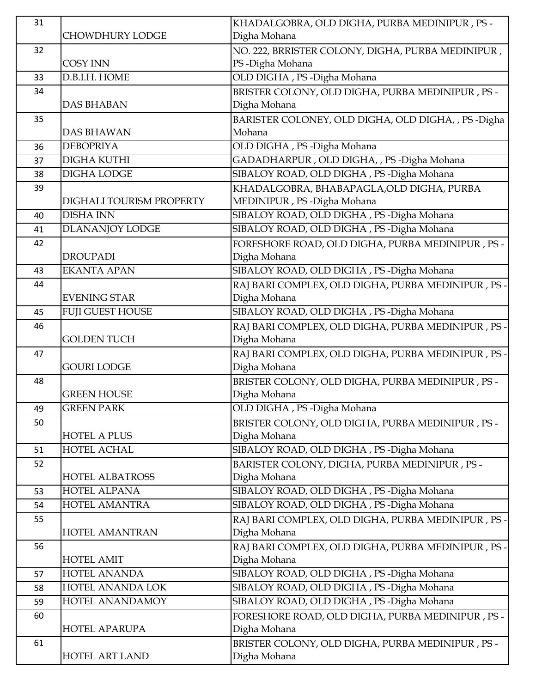| 31 |                          | KHADALGOBRA, OLD DIGHA, PURBA MEDINIPUR, PS -       |
|----|--------------------------|-----------------------------------------------------|
|    | CHOWDHURY LODGE          | Digha Mohana                                        |
| 32 |                          | NO. 222, BRRISTER COLONY, DIGHA, PURBA MEDINIPUR,   |
|    | <b>COSY INN</b>          | PS-Digha Mohana                                     |
| 33 | D.B.I.H. HOME            | OLD DIGHA, PS-Digha Mohana                          |
| 34 |                          | BRISTER COLONY, OLD DIGHA, PURBA MEDINIPUR, PS -    |
|    | <b>DAS BHABAN</b>        | Digha Mohana                                        |
| 35 |                          | BARISTER COLONEY, OLD DIGHA, OLD DIGHA, , PS -Digha |
|    | <b>DAS BHAWAN</b>        | Mohana                                              |
| 36 | <b>DEBOPRIYA</b>         | OLD DIGHA, PS-Digha Mohana                          |
| 37 | <b>DIGHA KUTHI</b>       | GADADHARPUR, OLD DIGHA, , PS-Digha Mohana           |
| 38 | <b>DIGHA LODGE</b>       | SIBALOY ROAD, OLD DIGHA, PS-Digha Mohana            |
| 39 |                          | KHADALGOBRA, BHABAPAGLA,OLD DIGHA, PURBA            |
|    | DIGHALI TOURISM PROPERTY | MEDINIPUR, PS-Digha Mohana                          |
| 40 | <b>DISHA INN</b>         | SIBALOY ROAD, OLD DIGHA, PS-Digha Mohana            |
| 41 | <b>DLANANJOY LODGE</b>   | SIBALOY ROAD, OLD DIGHA, PS - Digha Mohana          |
| 42 |                          | FORESHORE ROAD, OLD DIGHA, PURBA MEDINIPUR, PS -    |
|    | <b>DROUPADI</b>          | Digha Mohana                                        |
| 43 | <b>EKANTA APAN</b>       | SIBALOY ROAD, OLD DIGHA, PS-Digha Mohana            |
| 44 |                          | RAJ BARI COMPLEX, OLD DIGHA, PURBA MEDINIPUR, PS -  |
|    | <b>EVENING STAR</b>      | Digha Mohana                                        |
| 45 | <b>FUJI GUEST HOUSE</b>  | SIBALOY ROAD, OLD DIGHA, PS-Digha Mohana            |
| 46 |                          | RAJ BARI COMPLEX, OLD DIGHA, PURBA MEDINIPUR, PS -  |
|    | <b>GOLDEN TUCH</b>       | Digha Mohana                                        |
| 47 |                          | RAJ BARI COMPLEX, OLD DIGHA, PURBA MEDINIPUR, PS -  |
|    | <b>GOURI LODGE</b>       | Digha Mohana                                        |
| 48 |                          | BRISTER COLONY, OLD DIGHA, PURBA MEDINIPUR, PS -    |
|    | <b>GREEN HOUSE</b>       | Digha Mohana                                        |
| 49 | <b>GREEN PARK</b>        | OLD DIGHA, PS - Digha Mohana                        |
| 50 |                          | BRISTER COLONY, OLD DIGHA, PURBA MEDINIPUR, PS -    |
|    | <b>HOTEL A PLUS</b>      | Digha Mohana                                        |
| 51 | <b>HOTEL ACHAL</b>       | SIBALOY ROAD, OLD DIGHA, PS - Digha Mohana          |
| 52 |                          | BARISTER COLONY, DIGHA, PURBA MEDINIPUR, PS -       |
|    | <b>HOTEL ALBATROSS</b>   | Digha Mohana                                        |
| 53 | <b>HOTEL ALPANA</b>      | SIBALOY ROAD, OLD DIGHA, PS-Digha Mohana            |
| 54 | HOTEL AMANTRA            | SIBALOY ROAD, OLD DIGHA, PS-Digha Mohana            |
| 55 |                          | RAJ BARI COMPLEX, OLD DIGHA, PURBA MEDINIPUR, PS -  |
|    | <b>HOTEL AMANTRAN</b>    | Digha Mohana                                        |
| 56 |                          | RAJ BARI COMPLEX, OLD DIGHA, PURBA MEDINIPUR, PS -  |
|    | <b>HOTEL AMIT</b>        | Digha Mohana                                        |
| 57 | <b>HOTEL ANANDA</b>      | SIBALOY ROAD, OLD DIGHA, PS-Digha Mohana            |
| 58 | HOTEL ANANDA LOK         | SIBALOY ROAD, OLD DIGHA, PS-Digha Mohana            |
| 59 | HOTEL ANANDAMOY          | SIBALOY ROAD, OLD DIGHA, PS-Digha Mohana            |
| 60 |                          | FORESHORE ROAD, OLD DIGHA, PURBA MEDINIPUR, PS -    |
|    | <b>HOTEL APARUPA</b>     | Digha Mohana                                        |
| 61 |                          | BRISTER COLONY, OLD DIGHA, PURBA MEDINIPUR, PS -    |
|    | <b>HOTEL ART LAND</b>    | Digha Mohana                                        |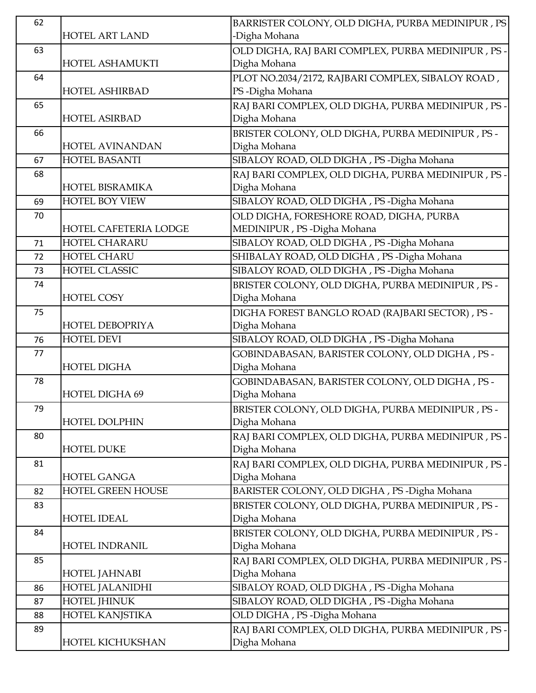| 62 |                        | BARRISTER COLONY, OLD DIGHA, PURBA MEDINIPUR, PS                   |
|----|------------------------|--------------------------------------------------------------------|
|    | <b>HOTEL ART LAND</b>  | -Digha Mohana                                                      |
| 63 |                        | OLD DIGHA, RAJ BARI COMPLEX, PURBA MEDINIPUR , PS -                |
|    | HOTEL ASHAMUKTI        | Digha Mohana                                                       |
| 64 |                        | PLOT NO.2034/2172, RAJBARI COMPLEX, SIBALOY ROAD,                  |
|    | <b>HOTEL ASHIRBAD</b>  | PS-Digha Mohana                                                    |
| 65 |                        | RAJ BARI COMPLEX, OLD DIGHA, PURBA MEDINIPUR, PS -                 |
|    | <b>HOTEL ASIRBAD</b>   | Digha Mohana                                                       |
| 66 |                        | BRISTER COLONY, OLD DIGHA, PURBA MEDINIPUR, PS -                   |
|    | <b>HOTEL AVINANDAN</b> | Digha Mohana                                                       |
| 67 | <b>HOTEL BASANTI</b>   | SIBALOY ROAD, OLD DIGHA, PS - Digha Mohana                         |
| 68 |                        | RAJ BARI COMPLEX, OLD DIGHA, PURBA MEDINIPUR, PS -                 |
|    | HOTEL BISRAMIKA        | Digha Mohana                                                       |
| 69 | <b>HOTEL BOY VIEW</b>  | SIBALOY ROAD, OLD DIGHA, PS - Digha Mohana                         |
| 70 |                        | OLD DIGHA, FORESHORE ROAD, DIGHA, PURBA                            |
|    | HOTEL CAFETERIA LODGE  | MEDINIPUR, PS-Digha Mohana                                         |
| 71 | <b>HOTEL CHARARU</b>   | SIBALOY ROAD, OLD DIGHA, PS-Digha Mohana                           |
| 72 | <b>HOTEL CHARU</b>     | SHIBALAY ROAD, OLD DIGHA, PS-Digha Mohana                          |
| 73 | HOTEL CLASSIC          | SIBALOY ROAD, OLD DIGHA, PS-Digha Mohana                           |
| 74 |                        | BRISTER COLONY, OLD DIGHA, PURBA MEDINIPUR, PS -                   |
|    | <b>HOTEL COSY</b>      | Digha Mohana                                                       |
| 75 |                        | DIGHA FOREST BANGLO ROAD (RAJBARI SECTOR), PS -                    |
|    | <b>HOTEL DEBOPRIYA</b> | Digha Mohana                                                       |
| 76 | <b>HOTEL DEVI</b>      | SIBALOY ROAD, OLD DIGHA, PS-Digha Mohana                           |
| 77 |                        | GOBINDABASAN, BARISTER COLONY, OLD DIGHA, PS -                     |
|    | <b>HOTEL DIGHA</b>     | Digha Mohana                                                       |
|    |                        |                                                                    |
| 78 |                        | GOBINDABASAN, BARISTER COLONY, OLD DIGHA, PS -                     |
|    | <b>HOTEL DIGHA 69</b>  | Digha Mohana                                                       |
| 79 |                        | BRISTER COLONY, OLD DIGHA, PURBA MEDINIPUR, PS -                   |
|    | <b>HOTEL DOLPHIN</b>   | Digha Mohana                                                       |
| 80 |                        | RAJ BARI COMPLEX, OLD DIGHA, PURBA MEDINIPUR, PS -                 |
|    | <b>HOTEL DUKE</b>      | Digha Mohana                                                       |
| 81 |                        | RAJ BARI COMPLEX, OLD DIGHA, PURBA MEDINIPUR, PS -                 |
|    | <b>HOTEL GANGA</b>     | Digha Mohana                                                       |
| 82 | HOTEL GREEN HOUSE      | BARISTER COLONY, OLD DIGHA, PS-Digha Mohana                        |
| 83 |                        | BRISTER COLONY, OLD DIGHA, PURBA MEDINIPUR, PS -                   |
|    | <b>HOTEL IDEAL</b>     | Digha Mohana                                                       |
| 84 |                        | BRISTER COLONY, OLD DIGHA, PURBA MEDINIPUR, PS -                   |
|    | <b>HOTEL INDRANIL</b>  | Digha Mohana                                                       |
| 85 |                        | RAJ BARI COMPLEX, OLD DIGHA, PURBA MEDINIPUR, PS-                  |
|    | <b>HOTEL JAHNABI</b>   | Digha Mohana                                                       |
| 86 | HOTEL JALANIDHI        | SIBALOY ROAD, OLD DIGHA, PS -Digha Mohana                          |
| 87 | HOTEL JHINUK           | SIBALOY ROAD, OLD DIGHA, PS-Digha Mohana                           |
| 88 | <b>HOTEL KANJSTIKA</b> | OLD DIGHA, PS-Digha Mohana                                         |
| 89 | HOTEL KICHUKSHAN       | RAJ BARI COMPLEX, OLD DIGHA, PURBA MEDINIPUR, PS -<br>Digha Mohana |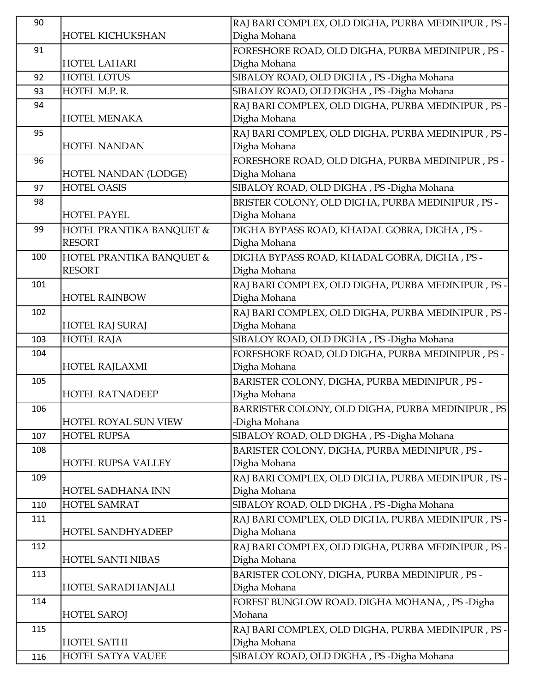| 90  |                           | RAJ BARI COMPLEX, OLD DIGHA, PURBA MEDINIPUR, PS-   |
|-----|---------------------------|-----------------------------------------------------|
|     | HOTEL KICHUKSHAN          | Digha Mohana                                        |
| 91  |                           | FORESHORE ROAD, OLD DIGHA, PURBA MEDINIPUR, PS -    |
|     | <b>HOTEL LAHARI</b>       | Digha Mohana                                        |
| 92  | <b>HOTEL LOTUS</b>        | SIBALOY ROAD, OLD DIGHA, PS-Digha Mohana            |
| 93  | HOTEL M.P. R.             | SIBALOY ROAD, OLD DIGHA, PS -Digha Mohana           |
| 94  |                           | RAJ BARI COMPLEX, OLD DIGHA, PURBA MEDINIPUR, PS -  |
|     | HOTEL MENAKA              | Digha Mohana                                        |
| 95  |                           | RAJ BARI COMPLEX, OLD DIGHA, PURBA MEDINIPUR, PS -  |
|     | <b>HOTEL NANDAN</b>       | Digha Mohana                                        |
| 96  |                           | FORESHORE ROAD, OLD DIGHA, PURBA MEDINIPUR, PS -    |
|     | HOTEL NANDAN (LODGE)      | Digha Mohana                                        |
| 97  | <b>HOTEL OASIS</b>        | SIBALOY ROAD, OLD DIGHA, PS-Digha Mohana            |
| 98  |                           | BRISTER COLONY, OLD DIGHA, PURBA MEDINIPUR, PS -    |
|     | <b>HOTEL PAYEL</b>        | Digha Mohana                                        |
| 99  | HOTEL PRANTIKA BANQUET &  | DIGHA BYPASS ROAD, KHADAL GOBRA, DIGHA , PS -       |
|     | <b>RESORT</b>             | Digha Mohana                                        |
| 100 | HOTEL PRANTIKA BANQUET &  | DIGHA BYPASS ROAD, KHADAL GOBRA, DIGHA, PS -        |
|     | <b>RESORT</b>             | Digha Mohana                                        |
| 101 |                           | RAJ BARI COMPLEX, OLD DIGHA, PURBA MEDINIPUR, PS -  |
|     | <b>HOTEL RAINBOW</b>      | Digha Mohana                                        |
| 102 |                           | RAJ BARI COMPLEX, OLD DIGHA, PURBA MEDINIPUR, PS -  |
|     | <b>HOTEL RAJ SURAJ</b>    | Digha Mohana                                        |
| 103 | <b>HOTEL RAJA</b>         | SIBALOY ROAD, OLD DIGHA, PS-Digha Mohana            |
| 104 |                           | FORESHORE ROAD, OLD DIGHA, PURBA MEDINIPUR, PS-     |
|     | <b>HOTEL RAJLAXMI</b>     | Digha Mohana                                        |
| 105 |                           | BARISTER COLONY, DIGHA, PURBA MEDINIPUR, PS -       |
|     | <b>HOTEL RATNADEEP</b>    | Digha Mohana                                        |
| 106 |                           | BARRISTER COLONY, OLD DIGHA, PURBA MEDINIPUR, PS    |
|     | HOTEL ROYAL SUN VIEW      | -Digha Mohana                                       |
| 107 | <b>HOTEL RUPSA</b>        | SIBALOY ROAD, OLD DIGHA, PS-Digha Mohana            |
| 108 |                           | BARISTER COLONY, DIGHA, PURBA MEDINIPUR, PS -       |
|     | <b>HOTEL RUPSA VALLEY</b> | Digha Mohana                                        |
| 109 |                           | RAJ BARI COMPLEX, OLD DIGHA, PURBA MEDINIPUR , PS - |
|     | HOTEL SADHANA INN         | Digha Mohana                                        |
| 110 | HOTEL SAMRAT              | SIBALOY ROAD, OLD DIGHA, PS-Digha Mohana            |
| 111 |                           | RAJ BARI COMPLEX, OLD DIGHA, PURBA MEDINIPUR, PS-   |
|     | <b>HOTEL SANDHYADEEP</b>  | Digha Mohana                                        |
| 112 |                           | RAJ BARI COMPLEX, OLD DIGHA, PURBA MEDINIPUR , PS - |
|     | HOTEL SANTI NIBAS         | Digha Mohana                                        |
| 113 |                           | BARISTER COLONY, DIGHA, PURBA MEDINIPUR, PS -       |
|     | HOTEL SARADHANJALI        | Digha Mohana                                        |
| 114 |                           | FOREST BUNGLOW ROAD. DIGHA MOHANA, , PS - Digha     |
|     | <b>HOTEL SAROJ</b>        | Mohana                                              |
| 115 |                           | RAJ BARI COMPLEX, OLD DIGHA, PURBA MEDINIPUR , PS · |
|     | <b>HOTEL SATHI</b>        | Digha Mohana                                        |
| 116 | HOTEL SATYA VAUEE         | SIBALOY ROAD, OLD DIGHA, PS-Digha Mohana            |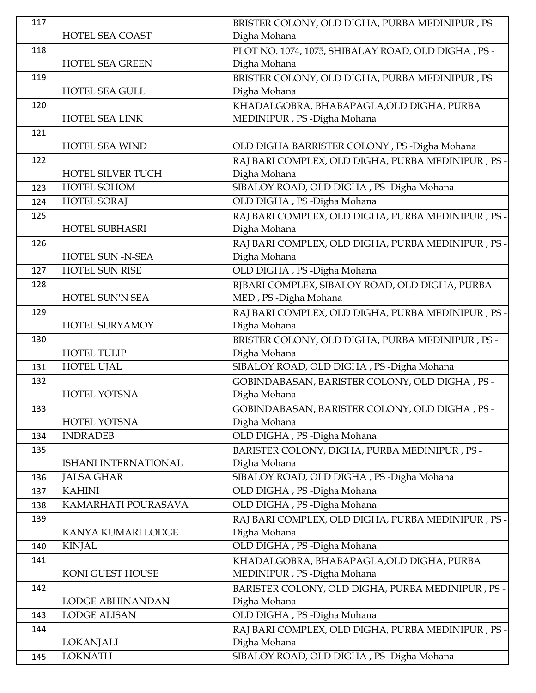| 117 |                         | BRISTER COLONY, OLD DIGHA, PURBA MEDINIPUR, PS -    |
|-----|-------------------------|-----------------------------------------------------|
|     | <b>HOTEL SEA COAST</b>  | Digha Mohana                                        |
| 118 |                         | PLOT NO. 1074, 1075, SHIBALAY ROAD, OLD DIGHA, PS - |
|     | <b>HOTEL SEA GREEN</b>  | Digha Mohana                                        |
| 119 |                         | BRISTER COLONY, OLD DIGHA, PURBA MEDINIPUR, PS -    |
|     | <b>HOTEL SEA GULL</b>   | Digha Mohana                                        |
| 120 |                         | KHADALGOBRA, BHABAPAGLA, OLD DIGHA, PURBA           |
|     | <b>HOTEL SEA LINK</b>   | MEDINIPUR, PS - Digha Mohana                        |
| 121 |                         |                                                     |
|     | <b>HOTEL SEA WIND</b>   | OLD DIGHA BARRISTER COLONY, PS-Digha Mohana         |
| 122 |                         | RAJ BARI COMPLEX, OLD DIGHA, PURBA MEDINIPUR, PS -  |
|     | HOTEL SILVER TUCH       | Digha Mohana                                        |
| 123 | HOTEL SOHOM             | SIBALOY ROAD, OLD DIGHA, PS -Digha Mohana           |
| 124 | <b>HOTEL SORAJ</b>      | OLD DIGHA, PS-Digha Mohana                          |
| 125 |                         | RAJ BARI COMPLEX, OLD DIGHA, PURBA MEDINIPUR, PS -  |
|     | <b>HOTEL SUBHASRI</b>   | Digha Mohana                                        |
| 126 |                         | RAJ BARI COMPLEX, OLD DIGHA, PURBA MEDINIPUR, PS-   |
|     | <b>HOTEL SUN -N-SEA</b> | Digha Mohana                                        |
| 127 | HOTEL SUN RISE          | OLD DIGHA, PS - Digha Mohana                        |
| 128 |                         | RJBARI COMPLEX, SIBALOY ROAD, OLD DIGHA, PURBA      |
|     | <b>HOTEL SUN'N SEA</b>  | MED, PS-Digha Mohana                                |
| 129 |                         | RAJ BARI COMPLEX, OLD DIGHA, PURBA MEDINIPUR, PS -  |
|     | <b>HOTEL SURYAMOY</b>   | Digha Mohana                                        |
| 130 |                         | BRISTER COLONY, OLD DIGHA, PURBA MEDINIPUR, PS -    |
|     | <b>HOTEL TULIP</b>      | Digha Mohana                                        |
| 131 | <b>HOTEL UJAL</b>       | SIBALOY ROAD, OLD DIGHA, PS -Digha Mohana           |
| 132 |                         | GOBINDABASAN, BARISTER COLONY, OLD DIGHA, PS -      |
|     | HOTEL YOTSNA            | Digha Mohana                                        |
| 133 |                         | GOBINDABASAN, BARISTER COLONY, OLD DIGHA, PS -      |
|     | HOTEL YOTSNA            | Digha Mohana                                        |
| 134 | <b>INDRADEB</b>         | OLD DIGHA, PS-Digha Mohana                          |
| 135 |                         | BARISTER COLONY, DIGHA, PURBA MEDINIPUR, PS -       |
|     | ISHANI INTERNATIONAL    | Digha Mohana                                        |
| 136 | <b>JALSA GHAR</b>       | SIBALOY ROAD, OLD DIGHA, PS -Digha Mohana           |
| 137 | <b>KAHINI</b>           | OLD DIGHA, PS - Digha Mohana                        |
| 138 | KAMARHATI POURASAVA     | OLD DIGHA, PS-Digha Mohana                          |
| 139 |                         | RAJ BARI COMPLEX, OLD DIGHA, PURBA MEDINIPUR, PS -  |
|     | KANYA KUMARI LODGE      | Digha Mohana                                        |
| 140 | <b>KINJAL</b>           | OLD DIGHA, PS-Digha Mohana                          |
| 141 |                         | KHADALGOBRA, BHABAPAGLA, OLD DIGHA, PURBA           |
|     | KONI GUEST HOUSE        | MEDINIPUR, PS - Digha Mohana                        |
| 142 |                         | BARISTER COLONY, OLD DIGHA, PURBA MEDINIPUR, PS-    |
|     | LODGE ABHINANDAN        | Digha Mohana                                        |
| 143 | <b>LODGE ALISAN</b>     | OLD DIGHA, PS-Digha Mohana                          |
| 144 |                         | RAJ BARI COMPLEX, OLD DIGHA, PURBA MEDINIPUR, PS -  |
|     | <b>LOKANJALI</b>        | Digha Mohana                                        |
| 145 | <b>LOKNATH</b>          | SIBALOY ROAD, OLD DIGHA, PS - Digha Mohana          |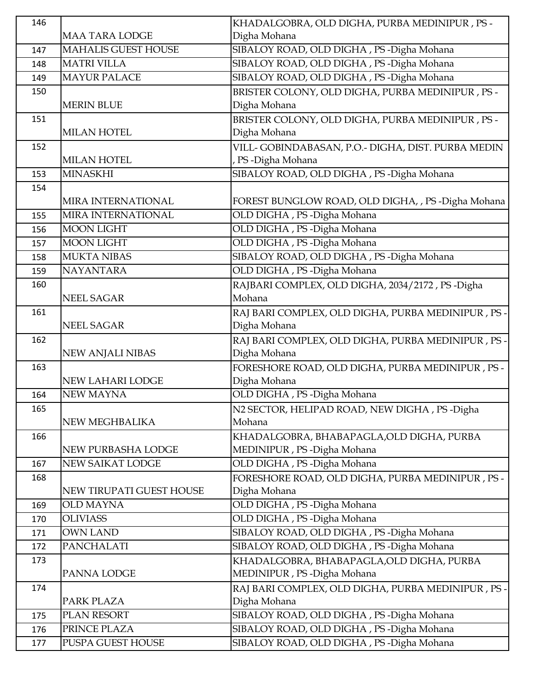| 146        |                                   | KHADALGOBRA, OLD DIGHA, PURBA MEDINIPUR, PS -                                        |
|------------|-----------------------------------|--------------------------------------------------------------------------------------|
|            | <b>MAA TARA LODGE</b>             | Digha Mohana                                                                         |
| 147        | <b>MAHALIS GUEST HOUSE</b>        | SIBALOY ROAD, OLD DIGHA, PS-Digha Mohana                                             |
| 148        | <b>MATRI VILLA</b>                | SIBALOY ROAD, OLD DIGHA, PS-Digha Mohana                                             |
| 149        | <b>MAYUR PALACE</b>               | SIBALOY ROAD, OLD DIGHA, PS - Digha Mohana                                           |
| 150        |                                   | BRISTER COLONY, OLD DIGHA, PURBA MEDINIPUR, PS -                                     |
|            | <b>MERIN BLUE</b>                 | Digha Mohana                                                                         |
| 151        |                                   | BRISTER COLONY, OLD DIGHA, PURBA MEDINIPUR, PS -                                     |
|            | <b>MILAN HOTEL</b>                | Digha Mohana                                                                         |
| 152        |                                   | VILL-GOBINDABASAN, P.O.- DIGHA, DIST. PURBA MEDIN                                    |
|            | <b>MILAN HOTEL</b>                | , PS-Digha Mohana                                                                    |
| 153        | <b>MINASKHI</b>                   | SIBALOY ROAD, OLD DIGHA, PS-Digha Mohana                                             |
| 154        |                                   |                                                                                      |
|            | <b>MIRA INTERNATIONAL</b>         | FOREST BUNGLOW ROAD, OLD DIGHA, , PS - Digha Mohana                                  |
| 155        | MIRA INTERNATIONAL                | OLD DIGHA, PS-Digha Mohana                                                           |
| 156        | <b>MOON LIGHT</b>                 | OLD DIGHA, PS - Digha Mohana                                                         |
| 157        | <b>MOON LIGHT</b>                 | OLD DIGHA, PS-Digha Mohana                                                           |
| 158        | <b>MUKTA NIBAS</b>                | SIBALOY ROAD, OLD DIGHA, PS -Digha Mohana                                            |
| 159        | <b>NAYANTARA</b>                  | OLD DIGHA, PS - Digha Mohana                                                         |
| 160        |                                   | RAJBARI COMPLEX, OLD DIGHA, 2034/2172, PS-Digha                                      |
|            | <b>NEEL SAGAR</b>                 | Mohana                                                                               |
| 161        |                                   | RAJ BARI COMPLEX, OLD DIGHA, PURBA MEDINIPUR, PS -                                   |
|            | <b>NEEL SAGAR</b>                 | Digha Mohana                                                                         |
| 162        |                                   | RAJ BARI COMPLEX, OLD DIGHA, PURBA MEDINIPUR, PS -                                   |
|            | <b>NEW ANJALI NIBAS</b>           | Digha Mohana                                                                         |
| 163        |                                   | FORESHORE ROAD, OLD DIGHA, PURBA MEDINIPUR, PS -                                     |
|            | <b>NEW LAHARI LODGE</b>           | Digha Mohana                                                                         |
| 164        | <b>NEW MAYNA</b>                  | OLD DIGHA, PS-Digha Mohana                                                           |
| 165        |                                   | N2 SECTOR, HELIPAD ROAD, NEW DIGHA, PS-Digha                                         |
|            | NEW MEGHBALIKA                    | Mohana                                                                               |
| 166        |                                   | KHADALGOBRA, BHABAPAGLA,OLD DIGHA, PURBA                                             |
|            | NEW PURBASHA LODGE                | MEDINIPUR, PS-Digha Mohana                                                           |
| 167        | <b>NEW SAIKAT LODGE</b>           | OLD DIGHA, PS - Digha Mohana                                                         |
| 168        |                                   | FORESHORE ROAD, OLD DIGHA, PURBA MEDINIPUR, PS-                                      |
|            | NEW TIRUPATI GUEST HOUSE          | Digha Mohana                                                                         |
| 169        | <b>OLD MAYNA</b>                  | OLD DIGHA, PS-Digha Mohana                                                           |
| 170        | <b>OLIVIASS</b>                   | OLD DIGHA, PS-Digha Mohana                                                           |
| 171        |                                   |                                                                                      |
|            | <b>OWN LAND</b>                   | SIBALOY ROAD, OLD DIGHA, PS-Digha Mohana                                             |
| 172        | PANCHALATI                        | SIBALOY ROAD, OLD DIGHA, PS-Digha Mohana                                             |
| 173        |                                   | KHADALGOBRA, BHABAPAGLA,OLD DIGHA, PURBA                                             |
|            | PANNA LODGE                       | MEDINIPUR, PS-Digha Mohana                                                           |
| 174        |                                   | RAJ BARI COMPLEX, OLD DIGHA, PURBA MEDINIPUR, PS -                                   |
|            | PARK PLAZA                        | Digha Mohana                                                                         |
| 175        | PLAN RESORT                       | SIBALOY ROAD, OLD DIGHA, PS-Digha Mohana                                             |
| 176<br>177 | PRINCE PLAZA<br>PUSPA GUEST HOUSE | SIBALOY ROAD, OLD DIGHA, PS-Digha Mohana<br>SIBALOY ROAD, OLD DIGHA, PS-Digha Mohana |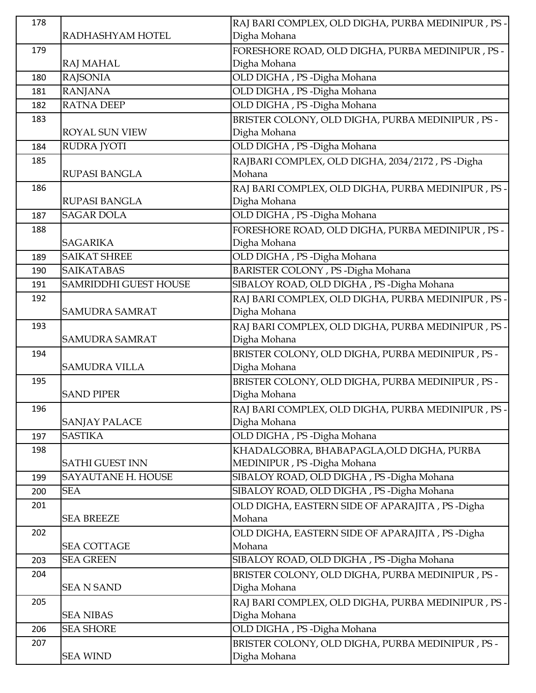| 178 |                              | RAJ BARI COMPLEX, OLD DIGHA, PURBA MEDINIPUR, PS -                 |
|-----|------------------------------|--------------------------------------------------------------------|
|     | RADHASHYAM HOTEL             | Digha Mohana                                                       |
| 179 |                              | FORESHORE ROAD, OLD DIGHA, PURBA MEDINIPUR, PS-                    |
|     | <b>RAJ MAHAL</b>             | Digha Mohana                                                       |
| 180 | <b>RAJSONIA</b>              | OLD DIGHA, PS-Digha Mohana                                         |
| 181 | <b>RANJANA</b>               | OLD DIGHA, PS - Digha Mohana                                       |
| 182 | <b>RATNA DEEP</b>            | OLD DIGHA, PS-Digha Mohana                                         |
| 183 |                              | BRISTER COLONY, OLD DIGHA, PURBA MEDINIPUR, PS -                   |
|     | <b>ROYAL SUN VIEW</b>        | Digha Mohana                                                       |
| 184 | <b>RUDRA JYOTI</b>           | OLD DIGHA, PS-Digha Mohana                                         |
| 185 |                              | RAJBARI COMPLEX, OLD DIGHA, 2034/2172, PS-Digha                    |
|     | <b>RUPASI BANGLA</b>         | Mohana                                                             |
| 186 |                              | RAJ BARI COMPLEX, OLD DIGHA, PURBA MEDINIPUR, PS -                 |
|     | <b>RUPASI BANGLA</b>         | Digha Mohana                                                       |
| 187 | <b>SAGAR DOLA</b>            | OLD DIGHA, PS-Digha Mohana                                         |
| 188 |                              | FORESHORE ROAD, OLD DIGHA, PURBA MEDINIPUR, PS-                    |
|     | <b>SAGARIKA</b>              | Digha Mohana                                                       |
| 189 | <b>SAIKAT SHREE</b>          | OLD DIGHA, PS-Digha Mohana                                         |
| 190 | <b>SAIKATABAS</b>            | BARISTER COLONY, PS-Digha Mohana                                   |
| 191 | <b>SAMRIDDHI GUEST HOUSE</b> | SIBALOY ROAD, OLD DIGHA, PS -Digha Mohana                          |
| 192 |                              | RAJ BARI COMPLEX, OLD DIGHA, PURBA MEDINIPUR, PS ·                 |
|     | SAMUDRA SAMRAT               | Digha Mohana                                                       |
| 193 |                              | RAJ BARI COMPLEX, OLD DIGHA, PURBA MEDINIPUR, PS -                 |
|     | <b>SAMUDRA SAMRAT</b>        | Digha Mohana                                                       |
| 194 |                              | BRISTER COLONY, OLD DIGHA, PURBA MEDINIPUR, PS -                   |
|     | <b>SAMUDRA VILLA</b>         | Digha Mohana                                                       |
| 195 | <b>SAND PIPER</b>            | BRISTER COLONY, OLD DIGHA, PURBA MEDINIPUR, PS -                   |
|     |                              | Digha Mohana                                                       |
| 196 | <b>SANJAY PALACE</b>         | RAJ BARI COMPLEX, OLD DIGHA, PURBA MEDINIPUR, PS -<br>Digha Mohana |
| 197 | <b>SASTIKA</b>               | OLD DIGHA, PS-Digha Mohana                                         |
| 198 |                              | KHADALGOBRA, BHABAPAGLA, OLD DIGHA, PURBA                          |
|     | <b>SATHI GUEST INN</b>       | MEDINIPUR, PS-Digha Mohana                                         |
| 199 | SAYAUTANE H. HOUSE           | SIBALOY ROAD, OLD DIGHA, PS-Digha Mohana                           |
| 200 | <b>SEA</b>                   | SIBALOY ROAD, OLD DIGHA, PS-Digha Mohana                           |
| 201 |                              | OLD DIGHA, EASTERN SIDE OF APARAJITA, PS-Digha                     |
|     | <b>SEA BREEZE</b>            | Mohana                                                             |
| 202 |                              | OLD DIGHA, EASTERN SIDE OF APARAJITA, PS-Digha                     |
|     | <b>SEA COTTAGE</b>           | Mohana                                                             |
| 203 | <b>SEA GREEN</b>             | SIBALOY ROAD, OLD DIGHA, PS-Digha Mohana                           |
| 204 |                              | BRISTER COLONY, OLD DIGHA, PURBA MEDINIPUR, PS -                   |
|     | <b>SEA N SAND</b>            | Digha Mohana                                                       |
| 205 |                              | RAJ BARI COMPLEX, OLD DIGHA, PURBA MEDINIPUR, PS -                 |
|     | <b>SEA NIBAS</b>             | Digha Mohana                                                       |
| 206 | <b>SEA SHORE</b>             | OLD DIGHA, PS-Digha Mohana                                         |
| 207 |                              | BRISTER COLONY, OLD DIGHA, PURBA MEDINIPUR, PS -                   |
|     | <b>SEA WIND</b>              | Digha Mohana                                                       |